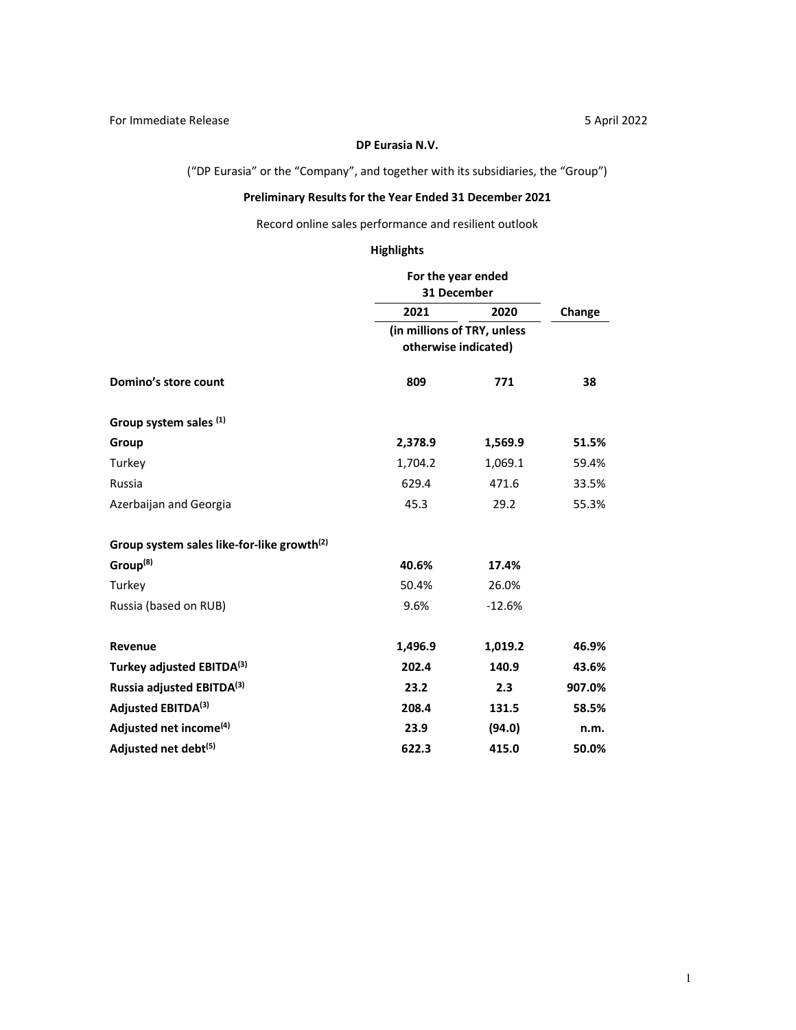## **DP Eurasia N.V.**

("DP Eurasia" or the "Company", and together with its subsidiaries, the "Group")

# **Preliminary Results for the Year Ended 31 December 2021**

Record online sales performance and resilient outlook

# **Highlights**

|                                                        | For the year ended<br>31 December |          |        |  |
|--------------------------------------------------------|-----------------------------------|----------|--------|--|
|                                                        | 2021                              | 2020     | Change |  |
|                                                        | (in millions of TRY, unless       |          |        |  |
|                                                        | otherwise indicated)              |          |        |  |
| Domino's store count                                   | 809                               | 771      | 38     |  |
| Group system sales (1)                                 |                                   |          |        |  |
| Group                                                  | 2,378.9                           | 1,569.9  | 51.5%  |  |
| Turkey                                                 | 1,704.2                           | 1,069.1  | 59.4%  |  |
| Russia                                                 | 629.4                             | 471.6    | 33.5%  |  |
| Azerbaijan and Georgia                                 | 45.3                              | 29.2     | 55.3%  |  |
| Group system sales like-for-like growth <sup>(2)</sup> |                                   |          |        |  |
| Group <sup>(8)</sup>                                   | 40.6%                             | 17.4%    |        |  |
| Turkey                                                 | 50.4%                             | 26.0%    |        |  |
| Russia (based on RUB)                                  | 9.6%                              | $-12.6%$ |        |  |
| Revenue                                                | 1,496.9                           | 1,019.2  | 46.9%  |  |
| Turkey adjusted EBITDA(3)                              | 202.4                             | 140.9    | 43.6%  |  |
| Russia adjusted EBITDA(3)                              | 23.2                              | 2.3      | 907.0% |  |
| Adjusted EBITDA(3)                                     | 208.4                             | 131.5    | 58.5%  |  |
| Adjusted net income <sup>(4)</sup>                     | 23.9                              | (94.0)   | n.m.   |  |
| Adjusted net debt <sup>(5)</sup>                       | 622.3                             | 415.0    | 50.0%  |  |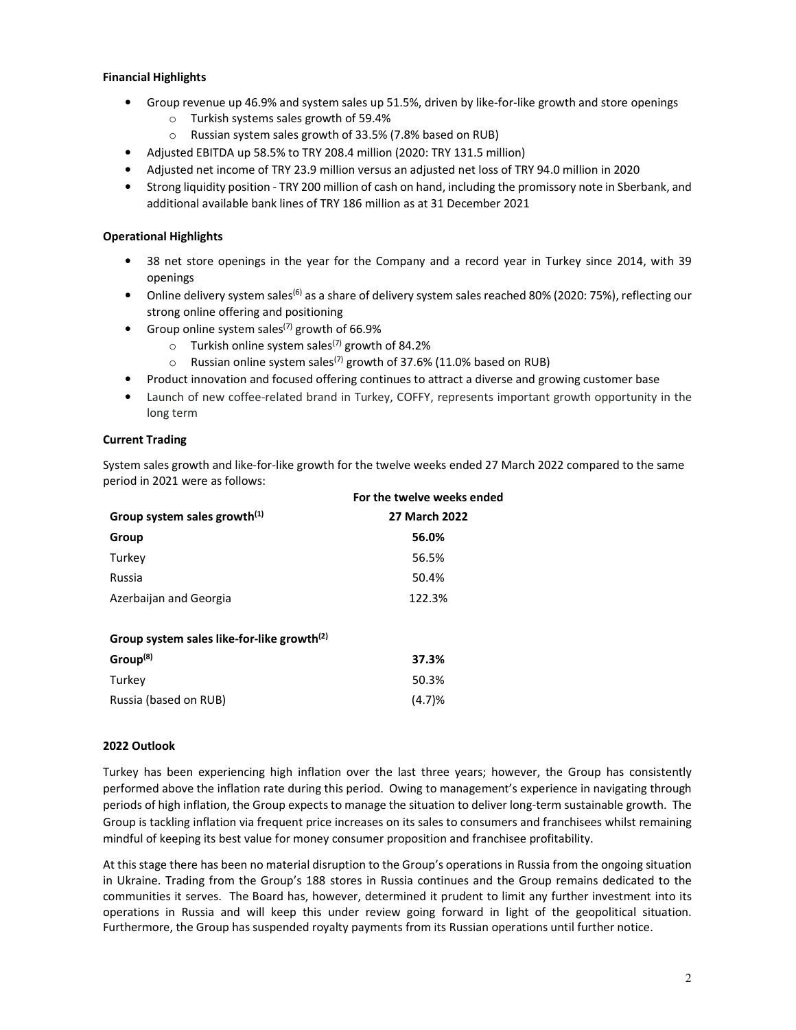## **Financial Highlights**

- Group revenue up 46.9% and system sales up 51.5%, driven by like-for-like growth and store openings
	- o Turkish systems sales growth of 59.4%
	- o Russian system sales growth of 33.5% (7.8% based on RUB)
- Adjusted EBITDA up 58.5% to TRY 208.4 million (2020: TRY 131.5 million)
- Adjusted net income of TRY 23.9 million versus an adjusted net loss of TRY 94.0 million in 2020
- Strong liquidity position TRY 200 million of cash on hand, including the promissory note in Sberbank, and additional available bank lines of TRY 186 million as at 31 December 2021

## **Operational Highlights**

- 38 net store openings in the year for the Company and a record year in Turkey since 2014, with 39 openings
- Online delivery system sales<sup>(6)</sup> as a share of delivery system sales reached 80% (2020: 75%), reflecting our strong online offering and positioning
- Group online system sales<sup>(7)</sup> growth of 66.9%
	- $\circ$  Turkish online system sales<sup>(7)</sup> growth of 84.2%
	- $\circ$  Russian online system sales<sup>(7)</sup> growth of 37.6% (11.0% based on RUB)
- Product innovation and focused offering continues to attract a diverse and growing customer base
- Launch of new coffee-related brand in Turkey, COFFY, represents important growth opportunity in the long term

## **Current Trading**

System sales growth and like-for-like growth for the twelve weeks ended 27 March 2022 compared to the same period in 2021 were as follows:

| 27 March 2022 |
|---------------|
| 56.0%         |
| 56.5%         |
| 50.4%         |
| 122.3%        |
|               |
|               |
| 37.3%         |
|               |

| ----                  |        |
|-----------------------|--------|
| Turkey                | 50.3%  |
| Russia (based on RUB) | (4.7)% |

#### **2022 Outlook**

Turkey has been experiencing high inflation over the last three years; however, the Group has consistently performed above the inflation rate during this period. Owing to management's experience in navigating through periods of high inflation, the Group expects to manage the situation to deliver long-term sustainable growth. The Group is tackling inflation via frequent price increases on its sales to consumers and franchisees whilst remaining mindful of keeping its best value for money consumer proposition and franchisee profitability.

At this stage there has been no material disruption to the Group's operations in Russia from the ongoing situation in Ukraine. Trading from the Group's 188 stores in Russia continues and the Group remains dedicated to the communities it serves. The Board has, however, determined it prudent to limit any further investment into its operations in Russia and will keep this under review going forward in light of the geopolitical situation. Furthermore, the Group has suspended royalty payments from its Russian operations until further notice.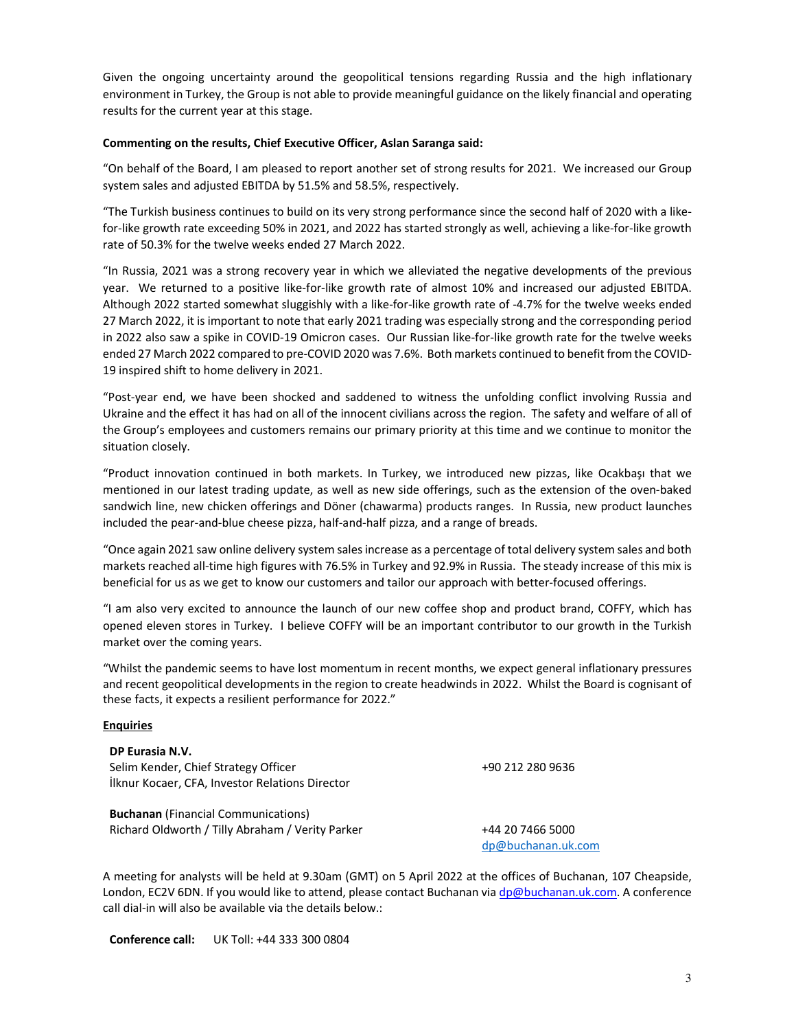Given the ongoing uncertainty around the geopolitical tensions regarding Russia and the high inflationary environment in Turkey, the Group is not able to provide meaningful guidance on the likely financial and operating results for the current year at this stage.

## **Commenting on the results, Chief Executive Officer, Aslan Saranga said:**

"On behalf of the Board, I am pleased to report another set of strong results for 2021. We increased our Group system sales and adjusted EBITDA by 51.5% and 58.5%, respectively.

"The Turkish business continues to build on its very strong performance since the second half of 2020 with a likefor-like growth rate exceeding 50% in 2021, and 2022 has started strongly as well, achieving a like-for-like growth rate of 50.3% for the twelve weeks ended 27 March 2022.

"In Russia, 2021 was a strong recovery year in which we alleviated the negative developments of the previous year. We returned to a positive like-for-like growth rate of almost 10% and increased our adjusted EBITDA. Although 2022 started somewhat sluggishly with a like-for-like growth rate of -4.7% for the twelve weeks ended 27 March 2022, it is important to note that early 2021 trading was especially strong and the corresponding period in 2022 also saw a spike in COVID-19 Omicron cases. Our Russian like-for-like growth rate for the twelve weeks ended 27 March 2022 compared to pre-COVID 2020 was 7.6%. Both markets continued to benefit from the COVID-19 inspired shift to home delivery in 2021.

"Post-year end, we have been shocked and saddened to witness the unfolding conflict involving Russia and Ukraine and the effect it has had on all of the innocent civilians across the region. The safety and welfare of all of the Group's employees and customers remains our primary priority at this time and we continue to monitor the situation closely.

"Product innovation continued in both markets. In Turkey, we introduced new pizzas, like Ocakbaşı that we mentioned in our latest trading update, as well as new side offerings, such as the extension of the oven-baked sandwich line, new chicken offerings and Döner (chawarma) products ranges. In Russia, new product launches included the pear-and-blue cheese pizza, half-and-half pizza, and a range of breads.

"Once again 2021 saw online delivery system sales increase as a percentage of total delivery system sales and both markets reached all-time high figures with 76.5% in Turkey and 92.9% in Russia. The steady increase of this mix is beneficial for us as we get to know our customers and tailor our approach with better-focused offerings.

"I am also very excited to announce the launch of our new coffee shop and product brand, COFFY, which has opened eleven stores in Turkey. I believe COFFY will be an important contributor to our growth in the Turkish market over the coming years.

"Whilst the pandemic seems to have lost momentum in recent months, we expect general inflationary pressures and recent geopolitical developments in the region to create headwinds in 2022. Whilst the Board is cognisant of these facts, it expects a resilient performance for 2022."

#### **Enquiries**

**DP Eurasia N.V.**  Selim Kender, Chief Strategy Officer İlknur Kocaer, CFA, Investor Relations Director

**Buchanan** (Financial Communications) Richard Oldworth / Tilly Abraham / Verity Parker +44 20 7466 5000

dp@buchanan.uk.com

+90 212 280 9636

A meeting for analysts will be held at 9.30am (GMT) on 5 April 2022 at the offices of Buchanan, 107 Cheapside, London, EC2V 6DN. If you would like to attend, please contact Buchanan via dp@buchanan.uk.com. A conference call dial-in will also be available via the details below.:

**Conference call:** UK Toll: +44 333 300 0804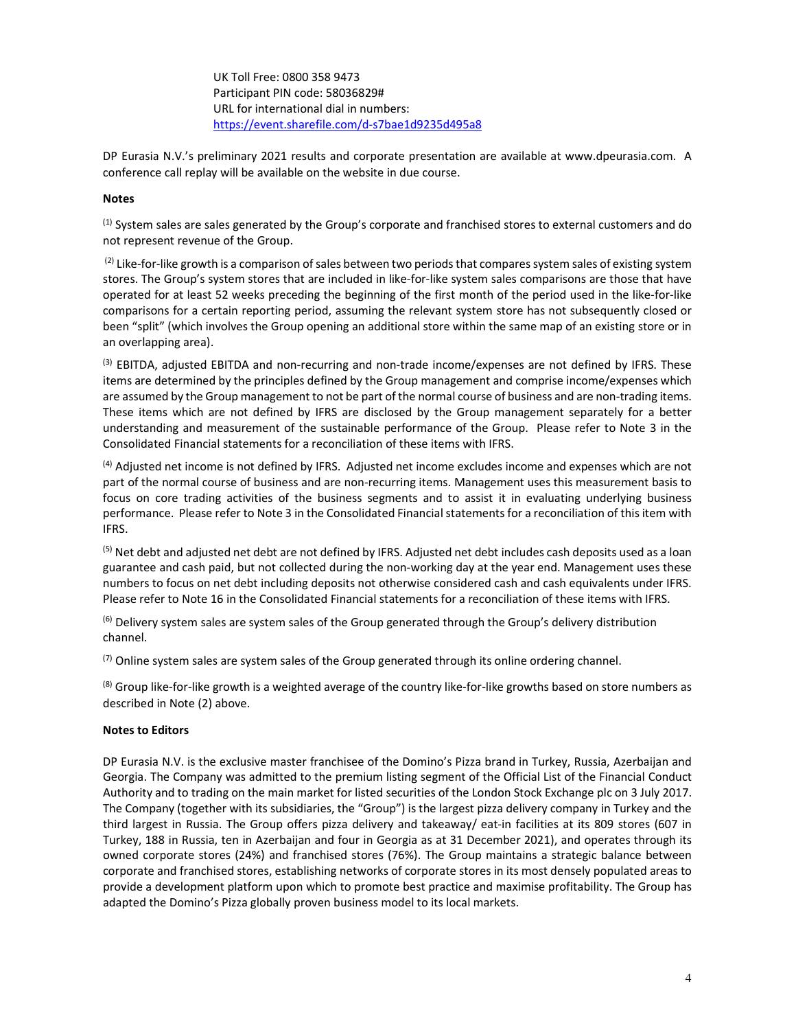UK Toll Free: 0800 358 9473 Participant PIN code: 58036829# URL for international dial in numbers: https://event.sharefile.com/d-s7bae1d9235d495a8

DP Eurasia N.V.'s preliminary 2021 results and corporate presentation are available at www.dpeurasia.com. A conference call replay will be available on the website in due course.

### **Notes**

 $<sup>(1)</sup>$  System sales are sales generated by the Group's corporate and franchised stores to external customers and do</sup> not represent revenue of the Group.

 $(2)$  Like-for-like growth is a comparison of sales between two periods that compares system sales of existing system stores. The Group's system stores that are included in like-for-like system sales comparisons are those that have operated for at least 52 weeks preceding the beginning of the first month of the period used in the like-for-like comparisons for a certain reporting period, assuming the relevant system store has not subsequently closed or been "split" (which involves the Group opening an additional store within the same map of an existing store or in an overlapping area).

<sup>(3)</sup> EBITDA, adjusted EBITDA and non-recurring and non-trade income/expenses are not defined by IFRS. These items are determined by the principles defined by the Group management and comprise income/expenses which are assumed by the Group management to not be part of the normal course of business and are non-trading items. These items which are not defined by IFRS are disclosed by the Group management separately for a better understanding and measurement of the sustainable performance of the Group. Please refer to Note 3 in the Consolidated Financial statements for a reconciliation of these items with IFRS.

(4) Adjusted net income is not defined by IFRS. Adjusted net income excludes income and expenses which are not part of the normal course of business and are non-recurring items. Management uses this measurement basis to focus on core trading activities of the business segments and to assist it in evaluating underlying business performance. Please refer to Note 3 in the Consolidated Financial statements for a reconciliation of this item with IFRS.

 $<sup>(5)</sup>$  Net debt and adjusted net debt are not defined by IFRS. Adjusted net debt includes cash deposits used as a loan</sup> guarantee and cash paid, but not collected during the non-working day at the year end. Management uses these numbers to focus on net debt including deposits not otherwise considered cash and cash equivalents under IFRS. Please refer to Note 16 in the Consolidated Financial statements for a reconciliation of these items with IFRS.

<sup>(6)</sup> Delivery system sales are system sales of the Group generated through the Group's delivery distribution channel.

 $<sup>(7)</sup>$  Online system sales are system sales of the Group generated through its online ordering channel.</sup>

 $(8)$  Group like-for-like growth is a weighted average of the country like-for-like growths based on store numbers as described in Note (2) above.

## **Notes to Editors**

DP Eurasia N.V. is the exclusive master franchisee of the Domino's Pizza brand in Turkey, Russia, Azerbaijan and Georgia. The Company was admitted to the premium listing segment of the Official List of the Financial Conduct Authority and to trading on the main market for listed securities of the London Stock Exchange plc on 3 July 2017. The Company (together with its subsidiaries, the "Group") is the largest pizza delivery company in Turkey and the third largest in Russia. The Group offers pizza delivery and takeaway/ eat-in facilities at its 809 stores (607 in Turkey, 188 in Russia, ten in Azerbaijan and four in Georgia as at 31 December 2021), and operates through its owned corporate stores (24%) and franchised stores (76%). The Group maintains a strategic balance between corporate and franchised stores, establishing networks of corporate stores in its most densely populated areas to provide a development platform upon which to promote best practice and maximise profitability. The Group has adapted the Domino's Pizza globally proven business model to its local markets.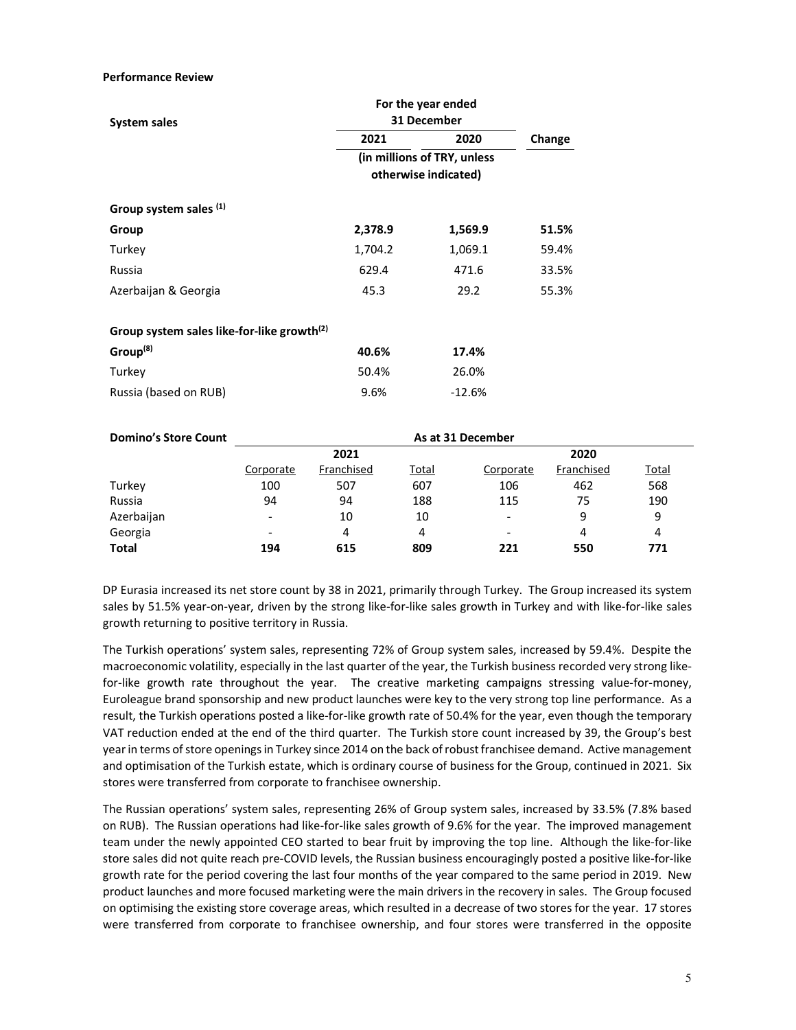#### **Performance Review**

|                                                        | For the year ended                                  |          |        |  |  |
|--------------------------------------------------------|-----------------------------------------------------|----------|--------|--|--|
| System sales                                           | 31 December                                         |          |        |  |  |
|                                                        | 2021                                                | 2020     | Change |  |  |
|                                                        | (in millions of TRY, unless<br>otherwise indicated) |          |        |  |  |
| Group system sales (1)                                 |                                                     |          |        |  |  |
| Group                                                  | 2,378.9                                             | 1,569.9  | 51.5%  |  |  |
| Turkey                                                 | 1,704.2                                             | 1,069.1  | 59.4%  |  |  |
| Russia                                                 | 629.4                                               | 471.6    | 33.5%  |  |  |
| Azerbaijan & Georgia                                   | 45.3                                                | 29.2     | 55.3%  |  |  |
| Group system sales like-for-like growth <sup>(2)</sup> |                                                     |          |        |  |  |
| Group <sup>(8)</sup>                                   | 40.6%                                               | 17.4%    |        |  |  |
| Turkey                                                 | 50.4%                                               | 26.0%    |        |  |  |
| Russia (based on RUB)                                  | 9.6%                                                | $-12.6%$ |        |  |  |

| <b>Domino's Store Count</b> | As at 31 December        |            |              |           |            |              |
|-----------------------------|--------------------------|------------|--------------|-----------|------------|--------------|
|                             | 2021                     |            |              | 2020      |            |              |
|                             | Corporate                | Franchised | <u>Total</u> | Corporate | Franchised | <b>Total</b> |
| Turkey                      | 100                      | 507        | 607          | 106       | 462        | 568          |
| Russia                      | 94                       | 94         | 188          | 115       | 75         | 190          |
| Azerbaijan                  | $\overline{\phantom{a}}$ | 10         | 10           | -         | 9          | 9            |
| Georgia                     | $\overline{\phantom{0}}$ | 4          | 4            | -         | 4          | 4            |
| <b>Total</b>                | 194                      | 615        | 809          | 221       | 550        | 771          |

DP Eurasia increased its net store count by 38 in 2021, primarily through Turkey. The Group increased its system sales by 51.5% year-on-year, driven by the strong like-for-like sales growth in Turkey and with like-for-like sales growth returning to positive territory in Russia.

The Turkish operations' system sales, representing 72% of Group system sales, increased by 59.4%. Despite the macroeconomic volatility, especially in the last quarter of the year, the Turkish business recorded very strong likefor-like growth rate throughout the year. The creative marketing campaigns stressing value-for-money, Euroleague brand sponsorship and new product launches were key to the very strong top line performance. As a result, the Turkish operations posted a like-for-like growth rate of 50.4% for the year, even though the temporary VAT reduction ended at the end of the third quarter. The Turkish store count increased by 39, the Group's best year in terms of store openings in Turkey since 2014 on the back of robust franchisee demand. Active management and optimisation of the Turkish estate, which is ordinary course of business for the Group, continued in 2021. Six stores were transferred from corporate to franchisee ownership.

The Russian operations' system sales, representing 26% of Group system sales, increased by 33.5% (7.8% based on RUB). The Russian operations had like-for-like sales growth of 9.6% for the year. The improved management team under the newly appointed CEO started to bear fruit by improving the top line. Although the like-for-like store sales did not quite reach pre-COVID levels, the Russian business encouragingly posted a positive like-for-like growth rate for the period covering the last four months of the year compared to the same period in 2019. New product launches and more focused marketing were the main drivers in the recovery in sales. The Group focused on optimising the existing store coverage areas, which resulted in a decrease of two stores for the year. 17 stores were transferred from corporate to franchisee ownership, and four stores were transferred in the opposite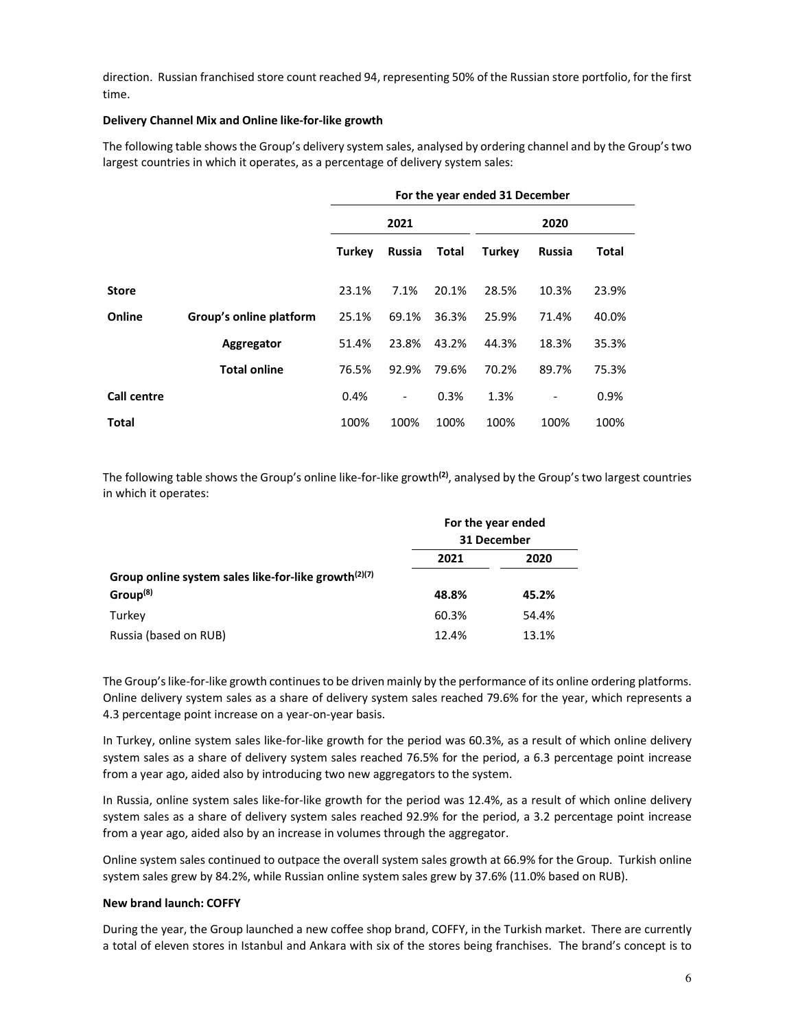direction. Russian franchised store count reached 94, representing 50% of the Russian store portfolio, for the first time.

## **Delivery Channel Mix and Online like-for-like growth**

The following table shows the Group's delivery system sales, analysed by ordering channel and by the Group's two largest countries in which it operates, as a percentage of delivery system sales:

|              |                         | For the year ended 31 December |                          |       |               |                          |       |
|--------------|-------------------------|--------------------------------|--------------------------|-------|---------------|--------------------------|-------|
|              |                         | 2021                           |                          | 2020  |               |                          |       |
|              |                         | Turkey                         | <b>Russia</b>            | Total | <b>Turkey</b> | <b>Russia</b>            | Total |
| <b>Store</b> |                         | 23.1%                          | 7.1%                     | 20.1% | 28.5%         | 10.3%                    | 23.9% |
| Online       | Group's online platform | 25.1%                          | 69.1%                    | 36.3% | 25.9%         | 71.4%                    | 40.0% |
|              | Aggregator              | 51.4%                          | 23.8%                    | 43.2% | 44.3%         | 18.3%                    | 35.3% |
|              | <b>Total online</b>     | 76.5%                          | 92.9%                    | 79.6% | 70.2%         | 89.7%                    | 75.3% |
| Call centre  |                         | 0.4%                           | $\overline{\phantom{a}}$ | 0.3%  | 1.3%          | $\overline{\phantom{a}}$ | 0.9%  |
| <b>Total</b> |                         | 100%                           | 100%                     | 100%  | 100%          | 100%                     | 100%  |

The following table shows the Group's online like-for-like growth**(2)**, analysed by the Group's two largest countries in which it operates:

|                                                         |       | For the year ended<br>31 December |
|---------------------------------------------------------|-------|-----------------------------------|
|                                                         | 2021  | 2020                              |
| Group online system sales like-for-like growth $(2)(7)$ |       |                                   |
| Group <sup>(8)</sup>                                    | 48.8% | 45.2%                             |
| Turkey                                                  | 60.3% | 54.4%                             |
| Russia (based on RUB)                                   | 12.4% | 13.1%                             |

The Group's like-for-like growth continues to be driven mainly by the performance of its online ordering platforms. Online delivery system sales as a share of delivery system sales reached 79.6% for the year, which represents a 4.3 percentage point increase on a year-on-year basis.

In Turkey, online system sales like-for-like growth for the period was 60.3%, as a result of which online delivery system sales as a share of delivery system sales reached 76.5% for the period, a 6.3 percentage point increase from a year ago, aided also by introducing two new aggregators to the system.

In Russia, online system sales like-for-like growth for the period was 12.4%, as a result of which online delivery system sales as a share of delivery system sales reached 92.9% for the period, a 3.2 percentage point increase from a year ago, aided also by an increase in volumes through the aggregator.

Online system sales continued to outpace the overall system sales growth at 66.9% for the Group. Turkish online system sales grew by 84.2%, while Russian online system sales grew by 37.6% (11.0% based on RUB).

#### **New brand launch: COFFY**

During the year, the Group launched a new coffee shop brand, COFFY, in the Turkish market. There are currently a total of eleven stores in Istanbul and Ankara with six of the stores being franchises. The brand's concept is to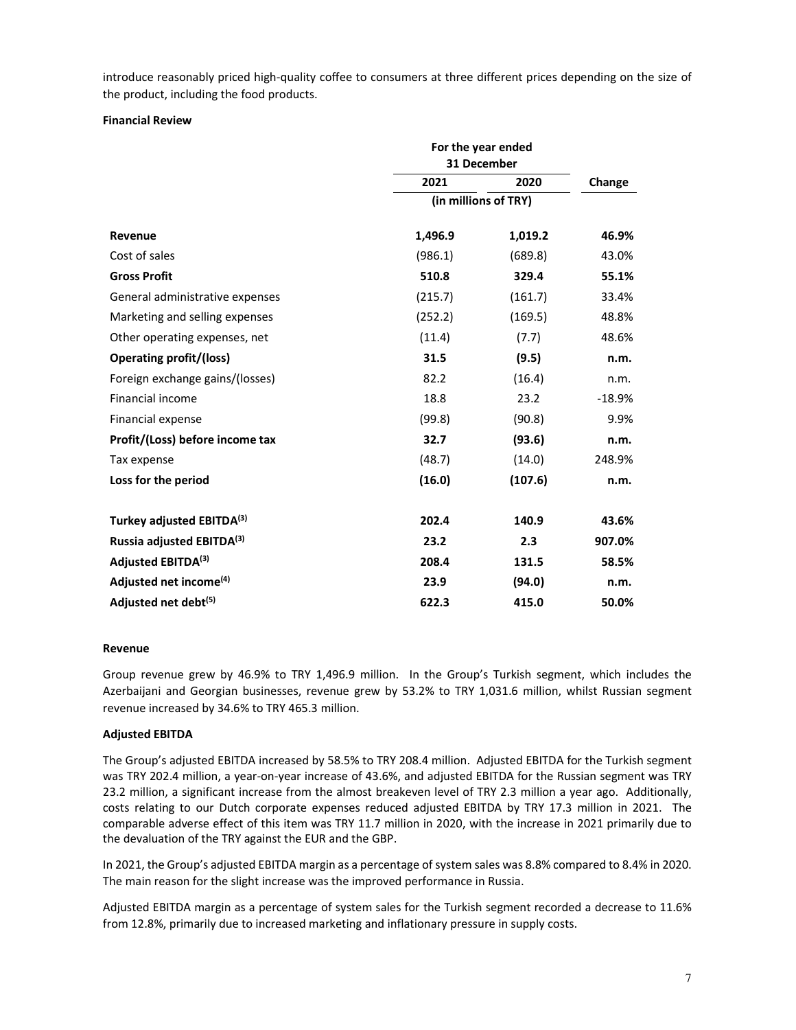introduce reasonably priced high-quality coffee to consumers at three different prices depending on the size of the product, including the food products.

## **Financial Review**

|                                    | For the year ended |                      |          |
|------------------------------------|--------------------|----------------------|----------|
|                                    | 31 December        |                      |          |
|                                    | 2021               | 2020                 | Change   |
|                                    |                    | (in millions of TRY) |          |
| Revenue                            | 1,496.9            | 1,019.2              | 46.9%    |
| Cost of sales                      | (986.1)            | (689.8)              | 43.0%    |
| <b>Gross Profit</b>                | 510.8              | 329.4                | 55.1%    |
| General administrative expenses    | (215.7)            | (161.7)              | 33.4%    |
| Marketing and selling expenses     | (252.2)            | (169.5)              | 48.8%    |
| Other operating expenses, net      | (11.4)             | (7.7)                | 48.6%    |
| <b>Operating profit/(loss)</b>     | 31.5               | (9.5)                | n.m.     |
| Foreign exchange gains/(losses)    | 82.2               | (16.4)               | n.m.     |
| <b>Financial income</b>            | 18.8               | 23.2                 | $-18.9%$ |
| Financial expense                  | (99.8)             | (90.8)               | 9.9%     |
| Profit/(Loss) before income tax    | 32.7               | (93.6)               | n.m.     |
| Tax expense                        | (48.7)             | (14.0)               | 248.9%   |
| Loss for the period                | (16.0)             | (107.6)              | n.m.     |
| Turkey adjusted EBITDA(3)          | 202.4              | 140.9                | 43.6%    |
| Russia adjusted EBITDA(3)          | 23.2               | 2.3                  | 907.0%   |
| Adjusted EBITDA <sup>(3)</sup>     | 208.4              | 131.5                | 58.5%    |
| Adjusted net income <sup>(4)</sup> | 23.9               | (94.0)               | n.m.     |
| Adjusted net debt <sup>(5)</sup>   | 622.3              | 415.0                | 50.0%    |

#### **Revenue**

Group revenue grew by 46.9% to TRY 1,496.9 million. In the Group's Turkish segment, which includes the Azerbaijani and Georgian businesses, revenue grew by 53.2% to TRY 1,031.6 million, whilst Russian segment revenue increased by 34.6% to TRY 465.3 million.

## **Adjusted EBITDA**

The Group's adjusted EBITDA increased by 58.5% to TRY 208.4 million. Adjusted EBITDA for the Turkish segment was TRY 202.4 million, a year-on-year increase of 43.6%, and adjusted EBITDA for the Russian segment was TRY 23.2 million, a significant increase from the almost breakeven level of TRY 2.3 million a year ago. Additionally, costs relating to our Dutch corporate expenses reduced adjusted EBITDA by TRY 17.3 million in 2021. The comparable adverse effect of this item was TRY 11.7 million in 2020, with the increase in 2021 primarily due to the devaluation of the TRY against the EUR and the GBP.

In 2021, the Group's adjusted EBITDA margin as a percentage of system sales was 8.8% compared to 8.4% in 2020. The main reason for the slight increase was the improved performance in Russia.

Adjusted EBITDA margin as a percentage of system sales for the Turkish segment recorded a decrease to 11.6% from 12.8%, primarily due to increased marketing and inflationary pressure in supply costs.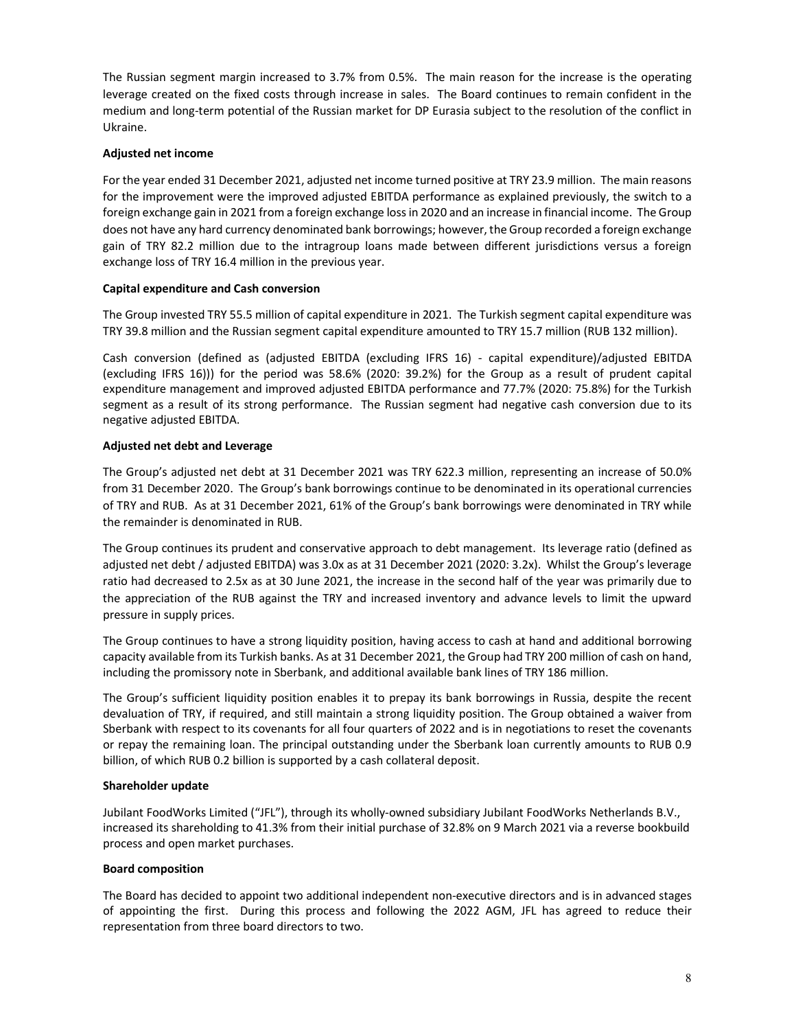The Russian segment margin increased to 3.7% from 0.5%. The main reason for the increase is the operating leverage created on the fixed costs through increase in sales. The Board continues to remain confident in the medium and long-term potential of the Russian market for DP Eurasia subject to the resolution of the conflict in Ukraine.

## **Adjusted net income**

For the year ended 31 December 2021, adjusted net income turned positive at TRY 23.9 million. The main reasons for the improvement were the improved adjusted EBITDA performance as explained previously, the switch to a foreign exchange gain in 2021 from a foreign exchange loss in 2020 and an increase in financial income. The Group does not have any hard currency denominated bank borrowings; however, the Group recorded a foreign exchange gain of TRY 82.2 million due to the intragroup loans made between different jurisdictions versus a foreign exchange loss of TRY 16.4 million in the previous year.

## **Capital expenditure and Cash conversion**

The Group invested TRY 55.5 million of capital expenditure in 2021. The Turkish segment capital expenditure was TRY 39.8 million and the Russian segment capital expenditure amounted to TRY 15.7 million (RUB 132 million).

Cash conversion (defined as (adjusted EBITDA (excluding IFRS 16) - capital expenditure)/adjusted EBITDA (excluding IFRS 16))) for the period was 58.6% (2020: 39.2%) for the Group as a result of prudent capital expenditure management and improved adjusted EBITDA performance and 77.7% (2020: 75.8%) for the Turkish segment as a result of its strong performance. The Russian segment had negative cash conversion due to its negative adjusted EBITDA.

## **Adjusted net debt and Leverage**

The Group's adjusted net debt at 31 December 2021 was TRY 622.3 million, representing an increase of 50.0% from 31 December 2020. The Group's bank borrowings continue to be denominated in its operational currencies of TRY and RUB. As at 31 December 2021, 61% of the Group's bank borrowings were denominated in TRY while the remainder is denominated in RUB.

The Group continues its prudent and conservative approach to debt management. Its leverage ratio (defined as adjusted net debt / adjusted EBITDA) was 3.0x as at 31 December 2021 (2020: 3.2x). Whilst the Group's leverage ratio had decreased to 2.5x as at 30 June 2021, the increase in the second half of the year was primarily due to the appreciation of the RUB against the TRY and increased inventory and advance levels to limit the upward pressure in supply prices.

The Group continues to have a strong liquidity position, having access to cash at hand and additional borrowing capacity available from its Turkish banks. As at 31 December 2021, the Group had TRY 200 million of cash on hand, including the promissory note in Sberbank, and additional available bank lines of TRY 186 million.

The Group's sufficient liquidity position enables it to prepay its bank borrowings in Russia, despite the recent devaluation of TRY, if required, and still maintain a strong liquidity position. The Group obtained a waiver from Sberbank with respect to its covenants for all four quarters of 2022 and is in negotiations to reset the covenants or repay the remaining loan. The principal outstanding under the Sberbank loan currently amounts to RUB 0.9 billion, of which RUB 0.2 billion is supported by a cash collateral deposit.

#### **Shareholder update**

Jubilant FoodWorks Limited ("JFL"), through its wholly-owned subsidiary Jubilant FoodWorks Netherlands B.V., increased its shareholding to 41.3% from their initial purchase of 32.8% on 9 March 2021 via a reverse bookbuild process and open market purchases.

## **Board composition**

The Board has decided to appoint two additional independent non-executive directors and is in advanced stages of appointing the first. During this process and following the 2022 AGM, JFL has agreed to reduce their representation from three board directors to two.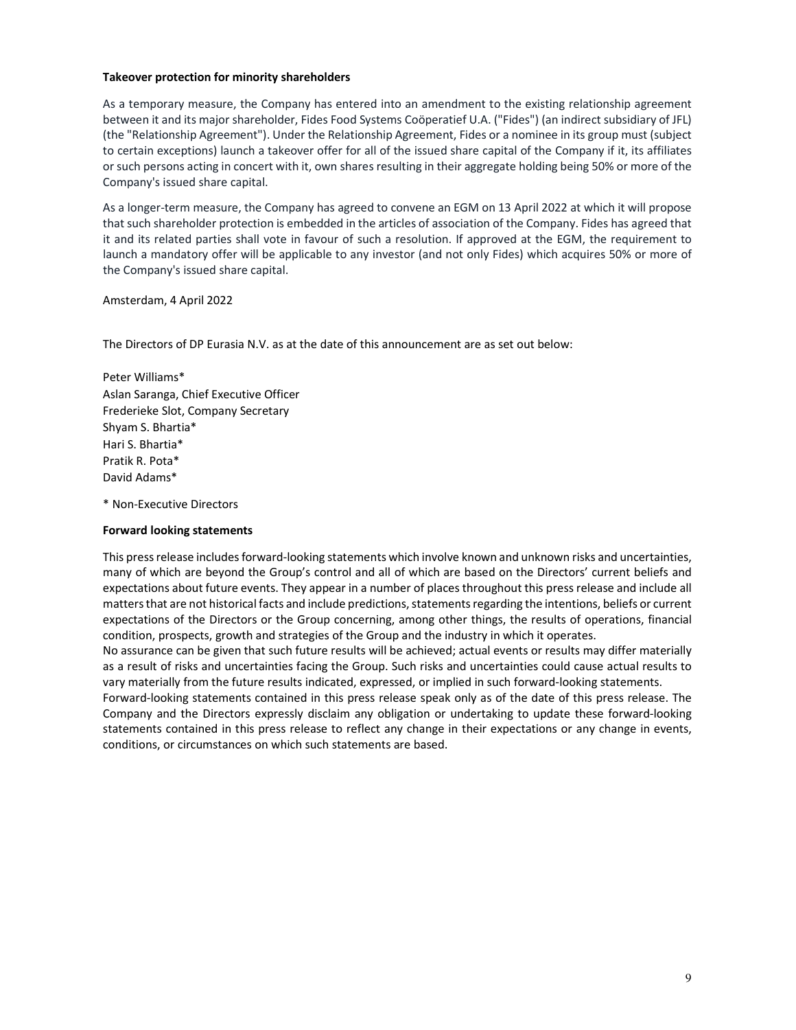### **Takeover protection for minority shareholders**

As a temporary measure, the Company has entered into an amendment to the existing relationship agreement between it and its major shareholder, Fides Food Systems Coöperatief U.A. ("Fides") (an indirect subsidiary of JFL) (the "Relationship Agreement"). Under the Relationship Agreement, Fides or a nominee in its group must (subject to certain exceptions) launch a takeover offer for all of the issued share capital of the Company if it, its affiliates or such persons acting in concert with it, own shares resulting in their aggregate holding being 50% or more of the Company's issued share capital.

As a longer-term measure, the Company has agreed to convene an EGM on 13 April 2022 at which it will propose that such shareholder protection is embedded in the articles of association of the Company. Fides has agreed that it and its related parties shall vote in favour of such a resolution. If approved at the EGM, the requirement to launch a mandatory offer will be applicable to any investor (and not only Fides) which acquires 50% or more of the Company's issued share capital.

Amsterdam, 4 April 2022

The Directors of DP Eurasia N.V. as at the date of this announcement are as set out below:

Peter Williams\* Aslan Saranga, Chief Executive Officer Frederieke Slot, Company Secretary Shyam S. Bhartia\* Hari S. Bhartia\* Pratik R. Pota\* David Adams\*

\* Non-Executive Directors

#### **Forward looking statements**

This press release includes forward-looking statements which involve known and unknown risks and uncertainties, many of which are beyond the Group's control and all of which are based on the Directors' current beliefs and expectations about future events. They appear in a number of places throughout this press release and include all matters that are not historical facts and include predictions, statements regarding the intentions, beliefs or current expectations of the Directors or the Group concerning, among other things, the results of operations, financial condition, prospects, growth and strategies of the Group and the industry in which it operates.

No assurance can be given that such future results will be achieved; actual events or results may differ materially as a result of risks and uncertainties facing the Group. Such risks and uncertainties could cause actual results to vary materially from the future results indicated, expressed, or implied in such forward-looking statements.

Forward-looking statements contained in this press release speak only as of the date of this press release. The Company and the Directors expressly disclaim any obligation or undertaking to update these forward-looking statements contained in this press release to reflect any change in their expectations or any change in events, conditions, or circumstances on which such statements are based.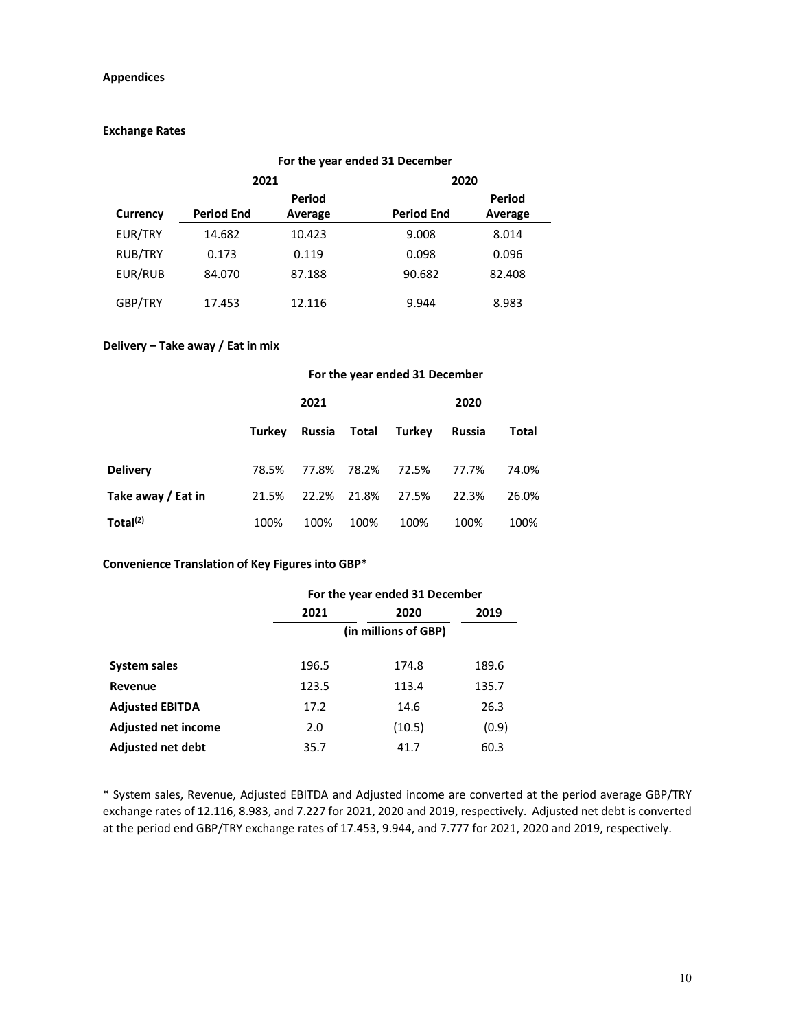## **Appendices**

### **Exchange Rates**

|          |                   |         | For the year ended 31 December |         |  |
|----------|-------------------|---------|--------------------------------|---------|--|
|          | 2021              |         | 2020                           |         |  |
|          |                   | Period  |                                | Period  |  |
| Currency | <b>Period End</b> | Average | <b>Period End</b>              | Average |  |
| EUR/TRY  | 14.682            | 10.423  | 9.008                          | 8.014   |  |
| RUB/TRY  | 0.173             | 0.119   | 0.098                          | 0.096   |  |
| EUR/RUB  | 84.070            | 87.188  | 90.682                         | 82.408  |  |
| GBP/TRY  | 17.453            | 12.116  | 9.944                          | 8.983   |  |

## **Delivery – Take away / Eat in mix**

|                      | For the year ended 31 December |        |       |        |        |       |  |
|----------------------|--------------------------------|--------|-------|--------|--------|-------|--|
|                      |                                | 2021   |       |        | 2020   |       |  |
|                      | Turkey                         | Russia | Total | Turkey | Russia | Total |  |
| <b>Delivery</b>      | 78.5%                          | 77.8%  | 78.2% | 72.5%  | 77.7%  | 74.0% |  |
| Take away / Eat in   | 21.5%                          | 22.2%  | 21.8% | 27.5%  | 22.3%  | 26.0% |  |
| Total <sup>(2)</sup> | 100%                           | 100%   | 100%  | 100%   | 100%   | 100%  |  |

## **Convenience Translation of Key Figures into GBP\***

|                            | For the year ended 31 December |        |       |  |  |  |  |
|----------------------------|--------------------------------|--------|-------|--|--|--|--|
|                            | 2021                           | 2020   |       |  |  |  |  |
|                            | (in millions of GBP)           |        |       |  |  |  |  |
| System sales               | 196.5                          | 174.8  | 189.6 |  |  |  |  |
| Revenue                    | 123.5                          | 113.4  | 135.7 |  |  |  |  |
| <b>Adjusted EBITDA</b>     | 17.2                           | 14.6   | 26.3  |  |  |  |  |
| <b>Adjusted net income</b> | 2.0                            | (10.5) | (0.9) |  |  |  |  |
| <b>Adjusted net debt</b>   | 35.7                           | 41.7   | 60.3  |  |  |  |  |

\* System sales, Revenue, Adjusted EBITDA and Adjusted income are converted at the period average GBP/TRY exchange rates of 12.116, 8.983, and 7.227 for 2021, 2020 and 2019, respectively. Adjusted net debt is converted at the period end GBP/TRY exchange rates of 17.453, 9.944, and 7.777 for 2021, 2020 and 2019, respectively.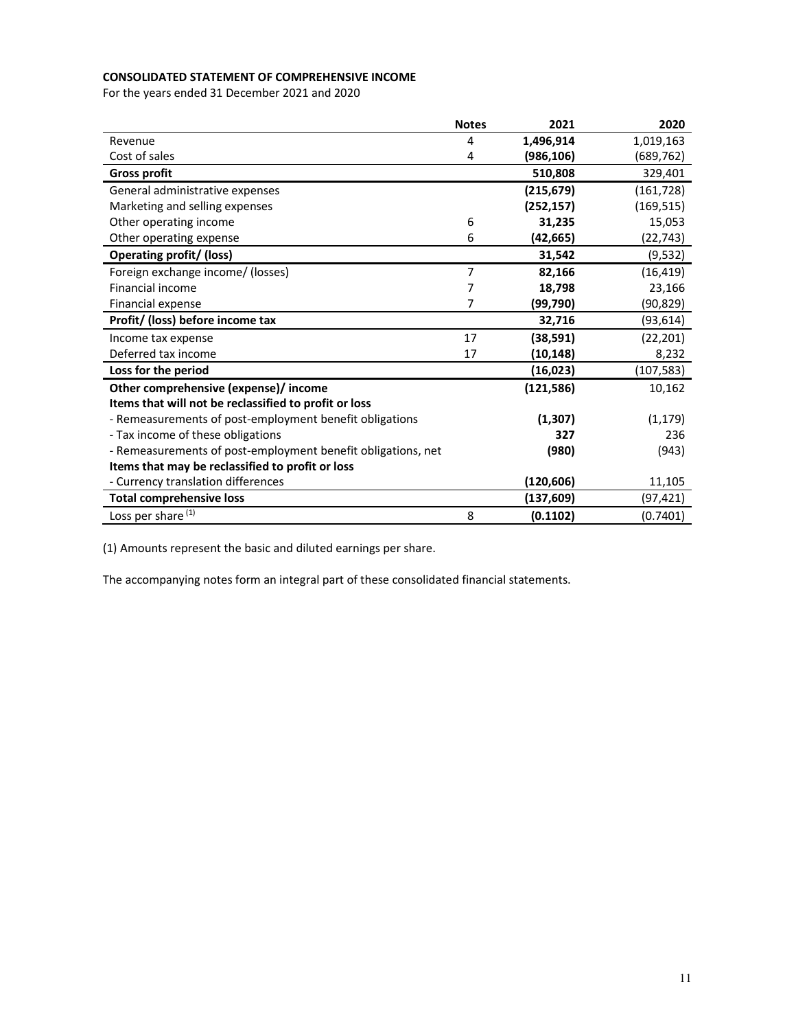## **CONSOLIDATED STATEMENT OF COMPREHENSIVE INCOME**

For the years ended 31 December 2021 and 2020

|                                                              | <b>Notes</b>   | 2021       | 2020       |
|--------------------------------------------------------------|----------------|------------|------------|
| Revenue                                                      | 4              | 1,496,914  | 1,019,163  |
| Cost of sales                                                | 4              | (986, 106) | (689,762)  |
| <b>Gross profit</b>                                          |                | 510,808    | 329,401    |
| General administrative expenses                              |                | (215, 679) | (161, 728) |
| Marketing and selling expenses                               |                | (252, 157) | (169, 515) |
| Other operating income                                       | 6              | 31,235     | 15,053     |
| Other operating expense                                      | 6              | (42,665)   | (22,743)   |
| <b>Operating profit/ (loss)</b>                              |                | 31,542     | (9, 532)   |
| Foreign exchange income/ (losses)                            | $\overline{7}$ | 82,166     | (16, 419)  |
| Financial income                                             | 7              | 18,798     | 23,166     |
| Financial expense                                            | 7              | (99,790)   | (90,829)   |
| Profit/ (loss) before income tax                             |                | 32,716     | (93, 614)  |
| Income tax expense                                           | 17             | (38, 591)  | (22, 201)  |
| Deferred tax income                                          | 17             | (10, 148)  | 8,232      |
| Loss for the period                                          |                | (16, 023)  | (107,583)  |
| Other comprehensive (expense)/ income                        |                | (121, 586) | 10,162     |
| Items that will not be reclassified to profit or loss        |                |            |            |
| - Remeasurements of post-employment benefit obligations      |                | (1, 307)   | (1, 179)   |
| - Tax income of these obligations                            |                | 327        | 236        |
| - Remeasurements of post-employment benefit obligations, net |                | (980)      | (943)      |
| Items that may be reclassified to profit or loss             |                |            |            |
| - Currency translation differences                           |                | (120,606)  | 11,105     |
| <b>Total comprehensive loss</b>                              |                | (137, 609) | (97, 421)  |
| Loss per share <sup>(1)</sup>                                | 8              | (0.1102)   | (0.7401)   |

(1) Amounts represent the basic and diluted earnings per share.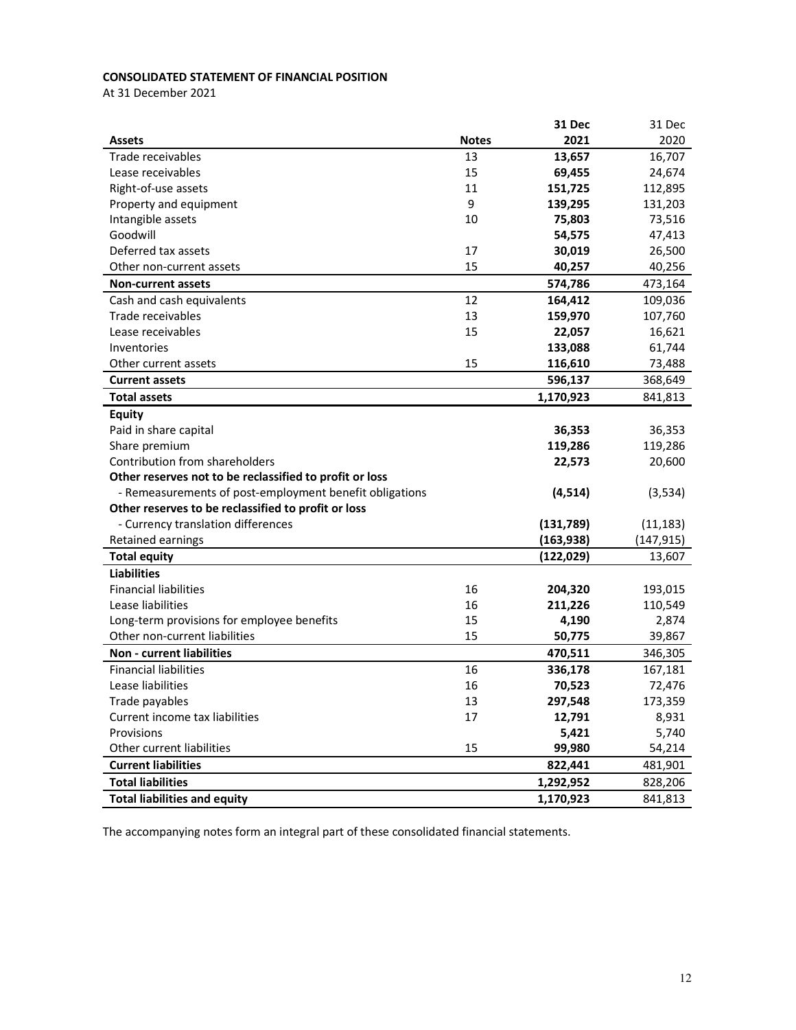## **CONSOLIDATED STATEMENT OF FINANCIAL POSITION**

At 31 December 2021

|                                                         |              | <b>31 Dec</b> | 31 Dec     |
|---------------------------------------------------------|--------------|---------------|------------|
| <b>Assets</b>                                           | <b>Notes</b> | 2021          | 2020       |
| Trade receivables                                       | 13           | 13,657        | 16,707     |
| Lease receivables                                       | 15           | 69,455        | 24,674     |
| Right-of-use assets                                     | 11           | 151,725       | 112,895    |
| Property and equipment                                  | 9            | 139,295       | 131,203    |
| Intangible assets                                       | 10           | 75,803        | 73,516     |
| Goodwill                                                |              | 54,575        | 47,413     |
| Deferred tax assets                                     | 17           | 30,019        | 26,500     |
| Other non-current assets                                | 15           | 40,257        | 40,256     |
| <b>Non-current assets</b>                               |              | 574,786       | 473,164    |
| Cash and cash equivalents                               | 12           | 164,412       | 109,036    |
| Trade receivables                                       | 13           | 159,970       | 107,760    |
| Lease receivables                                       | 15           | 22,057        | 16,621     |
| Inventories                                             |              | 133,088       | 61,744     |
| Other current assets                                    | 15           | 116,610       | 73,488     |
| <b>Current assets</b>                                   |              | 596,137       | 368,649    |
| <b>Total assets</b>                                     |              | 1,170,923     | 841,813    |
| <b>Equity</b>                                           |              |               |            |
| Paid in share capital                                   |              | 36,353        | 36,353     |
| Share premium                                           |              | 119,286       | 119,286    |
| Contribution from shareholders                          |              | 22,573        | 20,600     |
| Other reserves not to be reclassified to profit or loss |              |               |            |
| - Remeasurements of post-employment benefit obligations |              | (4, 514)      | (3,534)    |
| Other reserves to be reclassified to profit or loss     |              |               |            |
| - Currency translation differences                      |              | (131,789)     | (11, 183)  |
| Retained earnings                                       |              | (163, 938)    | (147, 915) |
| <b>Total equity</b>                                     |              | (122, 029)    | 13,607     |
| <b>Liabilities</b>                                      |              |               |            |
| <b>Financial liabilities</b>                            | 16           | 204,320       | 193,015    |
| Lease liabilities                                       | 16           | 211,226       | 110,549    |
| Long-term provisions for employee benefits              | 15           | 4,190         | 2,874      |
| Other non-current liabilities                           | 15           | 50,775        | 39,867     |
| <b>Non - current liabilities</b>                        |              | 470,511       | 346,305    |
| <b>Financial liabilities</b>                            | 16           | 336,178       | 167,181    |
| Lease liabilities                                       | 16           | 70,523        | 72,476     |
| Trade payables                                          | 13           | 297,548       | 173,359    |
| Current income tax liabilities                          | 17           | 12,791        | 8,931      |
| Provisions                                              |              | 5,421         | 5,740      |
| Other current liabilities                               | 15           | 99,980        | 54,214     |
| <b>Current liabilities</b>                              |              | 822,441       | 481,901    |
| <b>Total liabilities</b>                                |              | 1,292,952     | 828,206    |
| <b>Total liabilities and equity</b>                     |              | 1,170,923     | 841,813    |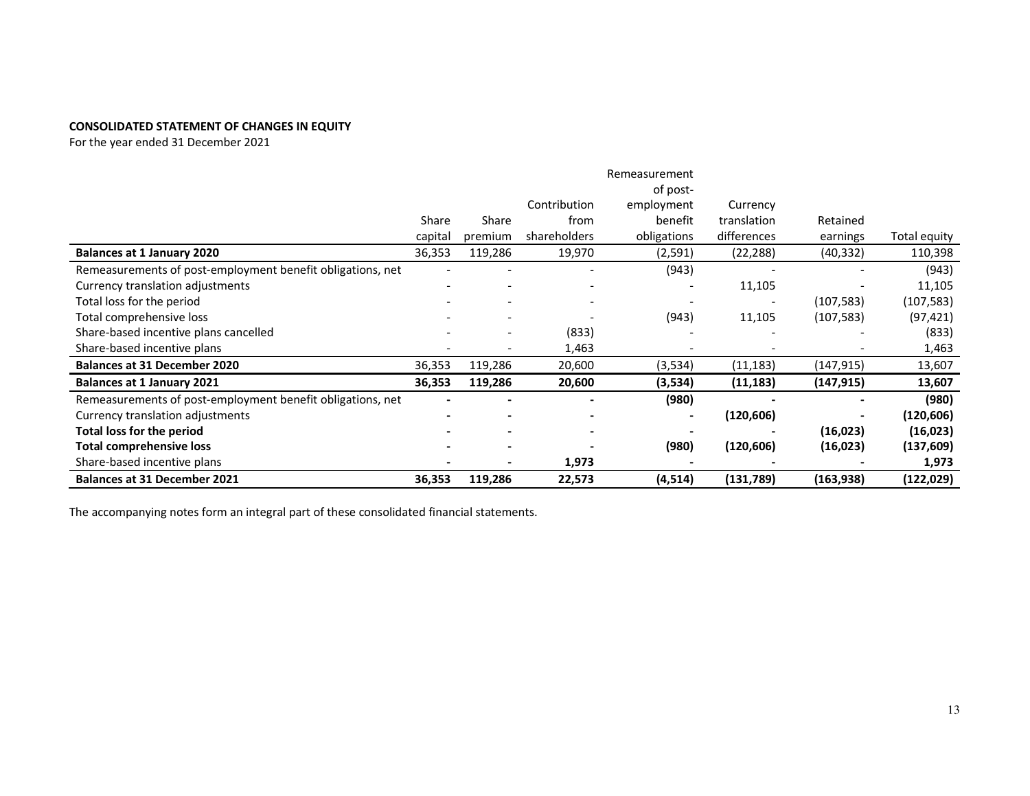# **CONSOLIDATED STATEMENT OF CHANGES IN EQUITY**

For the year ended 31 December 2021

|                                                            |         |                          |              | Remeasurement |             |            |              |
|------------------------------------------------------------|---------|--------------------------|--------------|---------------|-------------|------------|--------------|
|                                                            |         |                          |              | of post-      |             |            |              |
|                                                            |         |                          | Contribution | employment    | Currency    |            |              |
|                                                            | Share   | Share                    | from         | benefit       | translation | Retained   |              |
|                                                            | capital | premium                  | shareholders | obligations   | differences | earnings   | Total equity |
| <b>Balances at 1 January 2020</b>                          | 36,353  | 119,286                  | 19,970       | (2, 591)      | (22, 288)   | (40, 332)  | 110,398      |
| Remeasurements of post-employment benefit obligations, net |         |                          |              | (943)         |             |            | (943)        |
| Currency translation adjustments                           |         |                          |              |               | 11,105      |            | 11,105       |
| Total loss for the period                                  |         |                          |              |               |             | (107, 583) | (107, 583)   |
| Total comprehensive loss                                   |         |                          |              | (943)         | 11,105      | (107, 583) | (97, 421)    |
| Share-based incentive plans cancelled                      |         | $\overline{\phantom{0}}$ | (833)        |               |             |            | (833)        |
| Share-based incentive plans                                |         |                          | 1,463        |               |             |            | 1,463        |
| <b>Balances at 31 December 2020</b>                        | 36,353  | 119,286                  | 20,600       | (3, 534)      | (11, 183)   | (147,915)  | 13,607       |
| <b>Balances at 1 January 2021</b>                          | 36,353  | 119,286                  | 20,600       | (3,534)       | (11, 183)   | (147, 915) | 13,607       |
| Remeasurements of post-employment benefit obligations, net |         |                          |              | (980)         |             |            | (980)        |
| Currency translation adjustments                           |         |                          |              |               | (120, 606)  |            | (120,606)    |
| <b>Total loss for the period</b>                           |         |                          |              |               |             | (16,023)   | (16, 023)    |
| <b>Total comprehensive loss</b>                            |         |                          |              | (980)         | (120, 606)  | (16, 023)  | (137, 609)   |
| Share-based incentive plans                                |         |                          | 1,973        |               |             |            | 1,973        |
| <b>Balances at 31 December 2021</b>                        | 36,353  | 119,286                  | 22,573       | (4, 514)      | (131,789)   | (163, 938) | (122, 029)   |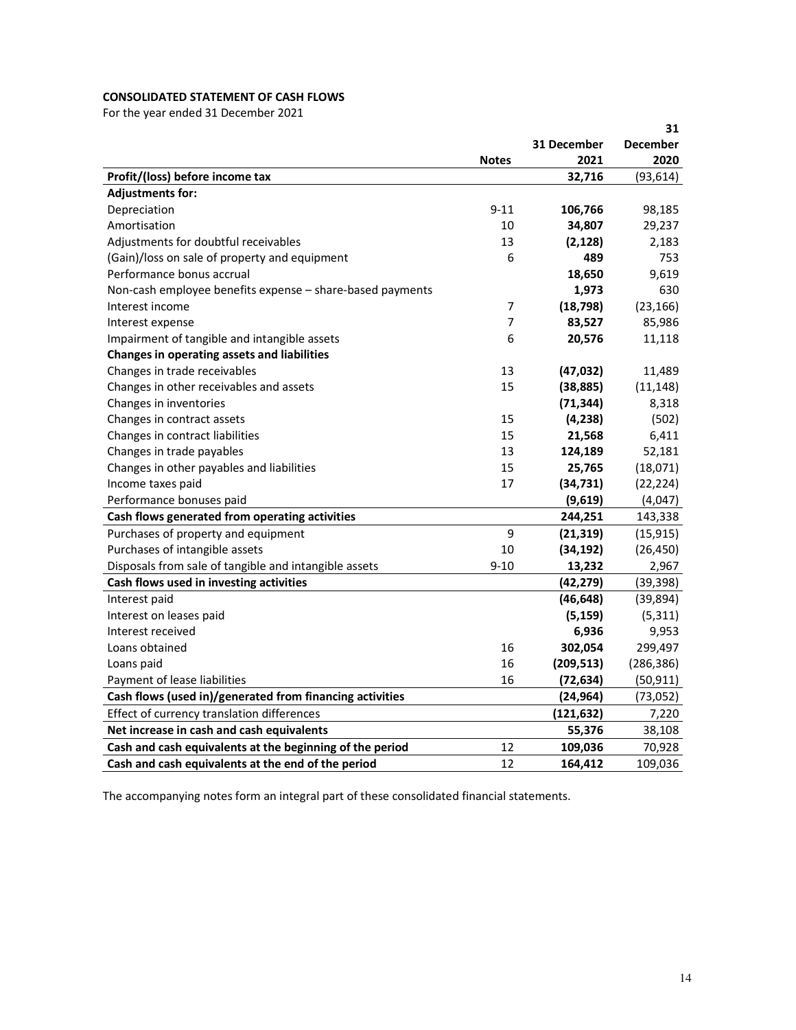# **CONSOLIDATED STATEMENT OF CASH FLOWS**

For the year ended 31 December 2021

|                                                           |                |             | 31              |
|-----------------------------------------------------------|----------------|-------------|-----------------|
|                                                           |                | 31 December | <b>December</b> |
|                                                           | <b>Notes</b>   | 2021        | 2020            |
| Profit/(loss) before income tax                           |                | 32,716      | (93, 614)       |
| <b>Adjustments for:</b>                                   |                |             |                 |
| Depreciation                                              | $9 - 11$       | 106,766     | 98,185          |
| Amortisation                                              | 10             | 34,807      | 29,237          |
| Adjustments for doubtful receivables                      | 13             | (2, 128)    | 2,183           |
| (Gain)/loss on sale of property and equipment             | 6              | 489         | 753             |
| Performance bonus accrual                                 |                | 18,650      | 9,619           |
| Non-cash employee benefits expense - share-based payments |                | 1,973       | 630             |
| Interest income                                           | 7              | (18, 798)   | (23, 166)       |
| Interest expense                                          | $\overline{7}$ | 83,527      | 85,986          |
| Impairment of tangible and intangible assets              | 6              | 20,576      | 11,118          |
| Changes in operating assets and liabilities               |                |             |                 |
| Changes in trade receivables                              | 13             | (47, 032)   | 11,489          |
| Changes in other receivables and assets                   | 15             | (38, 885)   | (11, 148)       |
| Changes in inventories                                    |                | (71, 344)   | 8,318           |
| Changes in contract assets                                | 15             | (4,238)     | (502)           |
| Changes in contract liabilities                           | 15             | 21,568      | 6,411           |
| Changes in trade payables                                 | 13             | 124,189     | 52,181          |
| Changes in other payables and liabilities                 | 15             | 25,765      | (18,071)        |
| Income taxes paid                                         | 17             | (34, 731)   | (22, 224)       |
| Performance bonuses paid                                  |                | (9,619)     | (4,047)         |
| Cash flows generated from operating activities            |                | 244,251     | 143,338         |
| Purchases of property and equipment                       | 9              | (21, 319)   | (15, 915)       |
| Purchases of intangible assets                            | 10             | (34, 192)   | (26, 450)       |
| Disposals from sale of tangible and intangible assets     | $9 - 10$       | 13,232      | 2,967           |
| Cash flows used in investing activities                   |                | (42, 279)   | (39, 398)       |
| Interest paid                                             |                | (46, 648)   | (39, 894)       |
| Interest on leases paid                                   |                | (5, 159)    | (5, 311)        |
| Interest received                                         |                | 6,936       | 9,953           |
| Loans obtained                                            | 16             | 302,054     | 299,497         |
| Loans paid                                                | 16             | (209, 513)  | (286, 386)      |
| Payment of lease liabilities                              | 16             | (72, 634)   | (50, 911)       |
| Cash flows (used in)/generated from financing activities  |                | (24, 964)   | (73, 052)       |
| Effect of currency translation differences                |                | (121, 632)  | 7,220           |
| Net increase in cash and cash equivalents                 |                | 55,376      | 38,108          |
| Cash and cash equivalents at the beginning of the period  | 12             | 109,036     | 70,928          |
| Cash and cash equivalents at the end of the period        | 12             | 164,412     | 109,036         |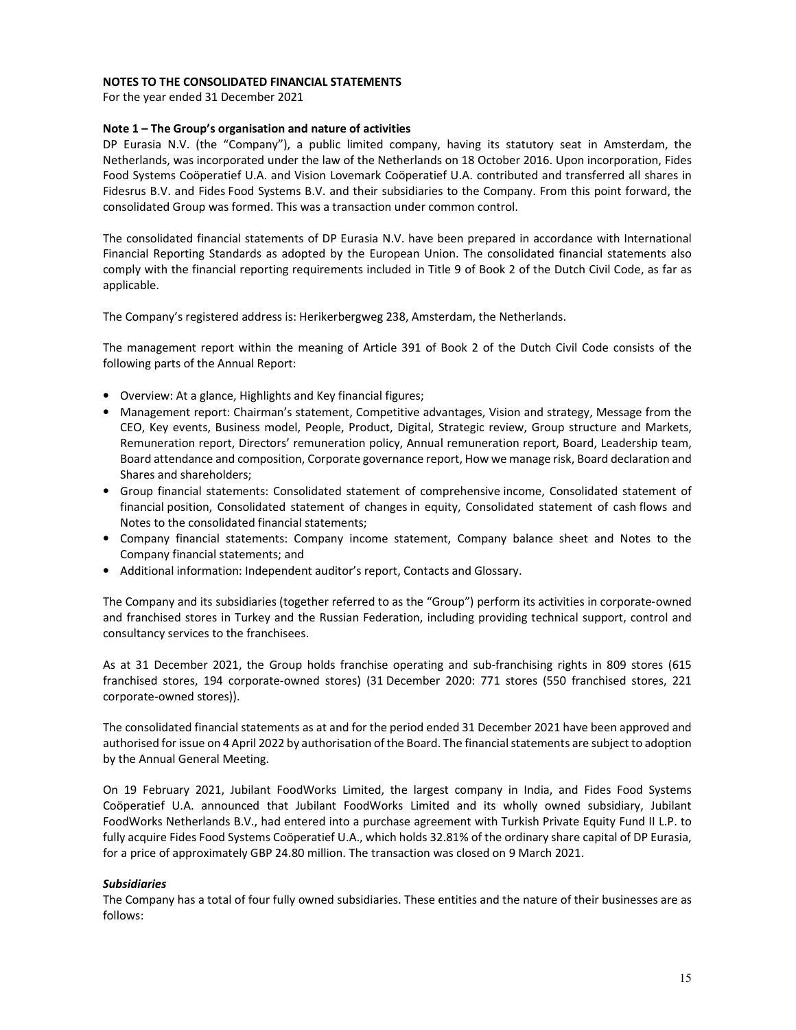### **NOTES TO THE CONSOLIDATED FINANCIAL STATEMENTS**

For the year ended 31 December 2021

### **Note 1 – The Group's organisation and nature of activities**

DP Eurasia N.V. (the "Company"), a public limited company, having its statutory seat in Amsterdam, the Netherlands, was incorporated under the law of the Netherlands on 18 October 2016. Upon incorporation, Fides Food Systems Coöperatief U.A. and Vision Lovemark Coöperatief U.A. contributed and transferred all shares in Fidesrus B.V. and Fides Food Systems B.V. and their subsidiaries to the Company. From this point forward, the consolidated Group was formed. This was a transaction under common control.

The consolidated financial statements of DP Eurasia N.V. have been prepared in accordance with International Financial Reporting Standards as adopted by the European Union. The consolidated financial statements also comply with the financial reporting requirements included in Title 9 of Book 2 of the Dutch Civil Code, as far as applicable.

The Company's registered address is: Herikerbergweg 238, Amsterdam, the Netherlands.

The management report within the meaning of Article 391 of Book 2 of the Dutch Civil Code consists of the following parts of the Annual Report:

- Overview: At a glance, Highlights and Key financial figures;
- Management report: Chairman's statement, Competitive advantages, Vision and strategy, Message from the CEO, Key events, Business model, People, Product, Digital, Strategic review, Group structure and Markets, Remuneration report, Directors' remuneration policy, Annual remuneration report, Board, Leadership team, Board attendance and composition, Corporate governance report, How we manage risk, Board declaration and Shares and shareholders;
- Group financial statements: Consolidated statement of comprehensive income, Consolidated statement of financial position, Consolidated statement of changes in equity, Consolidated statement of cash flows and Notes to the consolidated financial statements;
- Company financial statements: Company income statement, Company balance sheet and Notes to the Company financial statements; and
- Additional information: Independent auditor's report, Contacts and Glossary.

The Company and its subsidiaries (together referred to as the "Group") perform its activities in corporate‑owned and franchised stores in Turkey and the Russian Federation, including providing technical support, control and consultancy services to the franchisees.

As at 31 December 2021, the Group holds franchise operating and sub-franchising rights in 809 stores (615 franchised stores, 194 corporate-owned stores) (31 December 2020: 771 stores (550 franchised stores, 221 corporate-owned stores)).

The consolidated financial statements as at and for the period ended 31 December 2021 have been approved and authorised for issue on 4 April 2022 by authorisation of the Board. The financial statements are subject to adoption by the Annual General Meeting.

On 19 February 2021, Jubilant FoodWorks Limited, the largest company in India, and Fides Food Systems Coöperatief U.A. announced that Jubilant FoodWorks Limited and its wholly owned subsidiary, Jubilant FoodWorks Netherlands B.V., had entered into a purchase agreement with Turkish Private Equity Fund II L.P. to fully acquire Fides Food Systems Coöperatief U.A., which holds 32.81% of the ordinary share capital of DP Eurasia, for a price of approximately GBP 24.80 million. The transaction was closed on 9 March 2021.

#### *Subsidiaries*

The Company has a total of four fully owned subsidiaries. These entities and the nature of their businesses are as follows: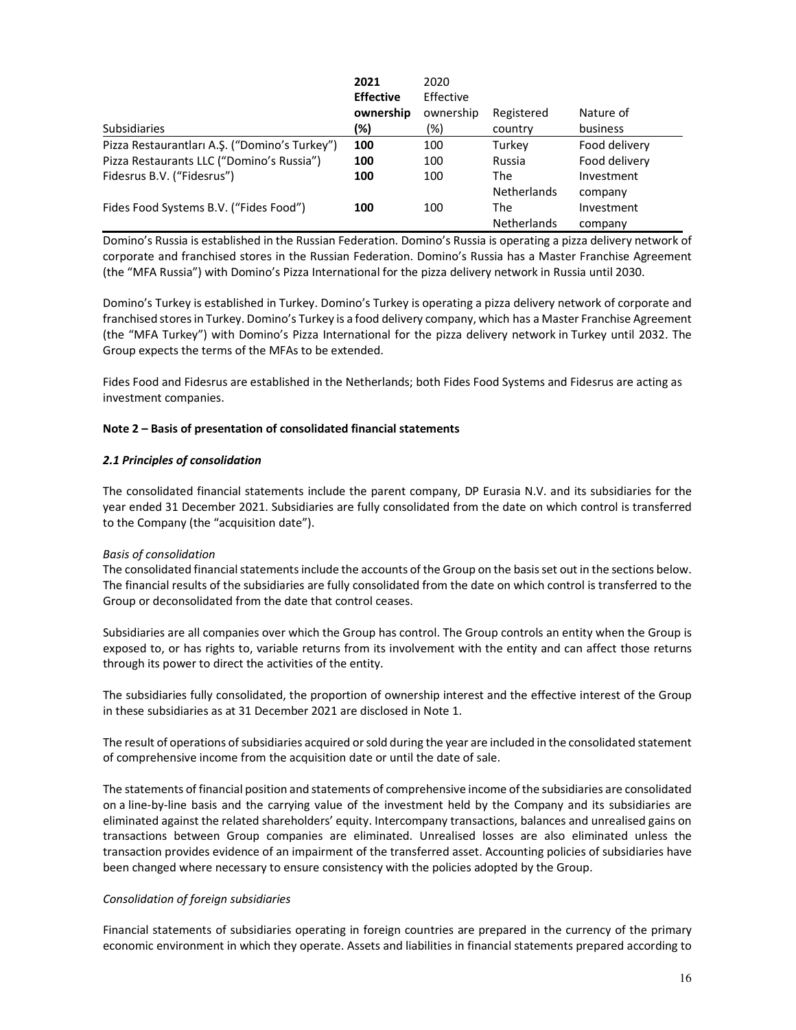|                                               | 2021<br><b>Effective</b> | 2020<br>Effective |                    |               |
|-----------------------------------------------|--------------------------|-------------------|--------------------|---------------|
|                                               | ownership                | ownership         | Registered         | Nature of     |
| <b>Subsidiaries</b>                           | (%)                      | (%)               | country            | business      |
| Pizza Restaurantları A.Ş. ("Domino's Turkey") | 100                      | 100               | Turkev             | Food delivery |
| Pizza Restaurants LLC ("Domino's Russia")     | 100                      | 100               | Russia             | Food delivery |
| Fidesrus B.V. ("Fidesrus")                    | 100                      | 100               | The                | Investment    |
|                                               |                          |                   | <b>Netherlands</b> | company       |
| Fides Food Systems B.V. ("Fides Food")        | 100                      | 100               | The                | Investment    |
|                                               |                          |                   | <b>Netherlands</b> | company       |

Domino's Russia is established in the Russian Federation. Domino's Russia is operating a pizza delivery network of corporate and franchised stores in the Russian Federation. Domino's Russia has a Master Franchise Agreement (the "MFA Russia") with Domino's Pizza International for the pizza delivery network in Russia until 2030.

Domino's Turkey is established in Turkey. Domino's Turkey is operating a pizza delivery network of corporate and franchised stores in Turkey. Domino's Turkey is a food delivery company, which has a Master Franchise Agreement (the "MFA Turkey") with Domino's Pizza International for the pizza delivery network in Turkey until 2032. The Group expects the terms of the MFAs to be extended.

Fides Food and Fidesrus are established in the Netherlands; both Fides Food Systems and Fidesrus are acting as investment companies.

## **Note 2 – Basis of presentation of consolidated financial statements**

## *2.1 Principles of consolidation*

The consolidated financial statements include the parent company, DP Eurasia N.V. and its subsidiaries for the year ended 31 December 2021. Subsidiaries are fully consolidated from the date on which control is transferred to the Company (the "acquisition date").

#### *Basis of consolidation*

The consolidated financial statements include the accounts of the Group on the basis set out in the sections below. The financial results of the subsidiaries are fully consolidated from the date on which control is transferred to the Group or deconsolidated from the date that control ceases.

Subsidiaries are all companies over which the Group has control. The Group controls an entity when the Group is exposed to, or has rights to, variable returns from its involvement with the entity and can affect those returns through its power to direct the activities of the entity.

The subsidiaries fully consolidated, the proportion of ownership interest and the effective interest of the Group in these subsidiaries as at 31 December 2021 are disclosed in Note 1.

The result of operations of subsidiaries acquired or sold during the year are included in the consolidated statement of comprehensive income from the acquisition date or until the date of sale.

The statements of financial position and statements of comprehensive income of the subsidiaries are consolidated on a line-by-line basis and the carrying value of the investment held by the Company and its subsidiaries are eliminated against the related shareholders' equity. Intercompany transactions, balances and unrealised gains on transactions between Group companies are eliminated. Unrealised losses are also eliminated unless the transaction provides evidence of an impairment of the transferred asset. Accounting policies of subsidiaries have been changed where necessary to ensure consistency with the policies adopted by the Group.

#### *Consolidation of foreign subsidiaries*

Financial statements of subsidiaries operating in foreign countries are prepared in the currency of the primary economic environment in which they operate. Assets and liabilities in financial statements prepared according to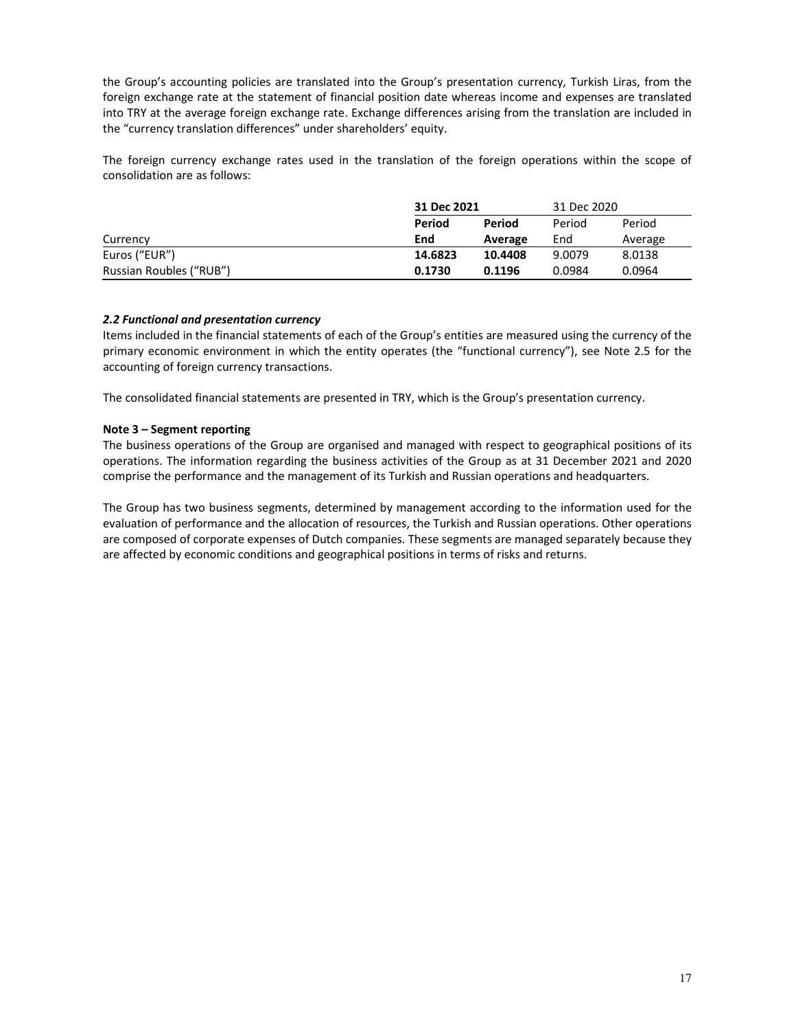the Group's accounting policies are translated into the Group's presentation currency, Turkish Liras, from the foreign exchange rate at the statement of financial position date whereas income and expenses are translated into TRY at the average foreign exchange rate. Exchange differences arising from the translation are included in the "currency translation differences" under shareholders' equity.

The foreign currency exchange rates used in the translation of the foreign operations within the scope of consolidation are as follows:

|                         | 31 Dec 2021 |         | 31 Dec 2020 |         |
|-------------------------|-------------|---------|-------------|---------|
|                         | Period      | Period  | Period      | Period  |
| Currency                | End         | Average | End         | Average |
| Euros ("EUR")           | 14.6823     | 10.4408 | 9.0079      | 8.0138  |
| Russian Roubles ("RUB") | 0.1730      | 0.1196  | 0.0984      | 0.0964  |

## *2.2 Functional and presentation currency*

Items included in the financial statements of each of the Group's entities are measured using the currency of the primary economic environment in which the entity operates (the "functional currency"), see Note 2.5 for the accounting of foreign currency transactions.

The consolidated financial statements are presented in TRY, which is the Group's presentation currency.

## **Note 3 – Segment reporting**

The business operations of the Group are organised and managed with respect to geographical positions of its operations. The information regarding the business activities of the Group as at 31 December 2021 and 2020 comprise the performance and the management of its Turkish and Russian operations and headquarters.

The Group has two business segments, determined by management according to the information used for the evaluation of performance and the allocation of resources, the Turkish and Russian operations. Other operations are composed of corporate expenses of Dutch companies. These segments are managed separately because they are affected by economic conditions and geographical positions in terms of risks and returns.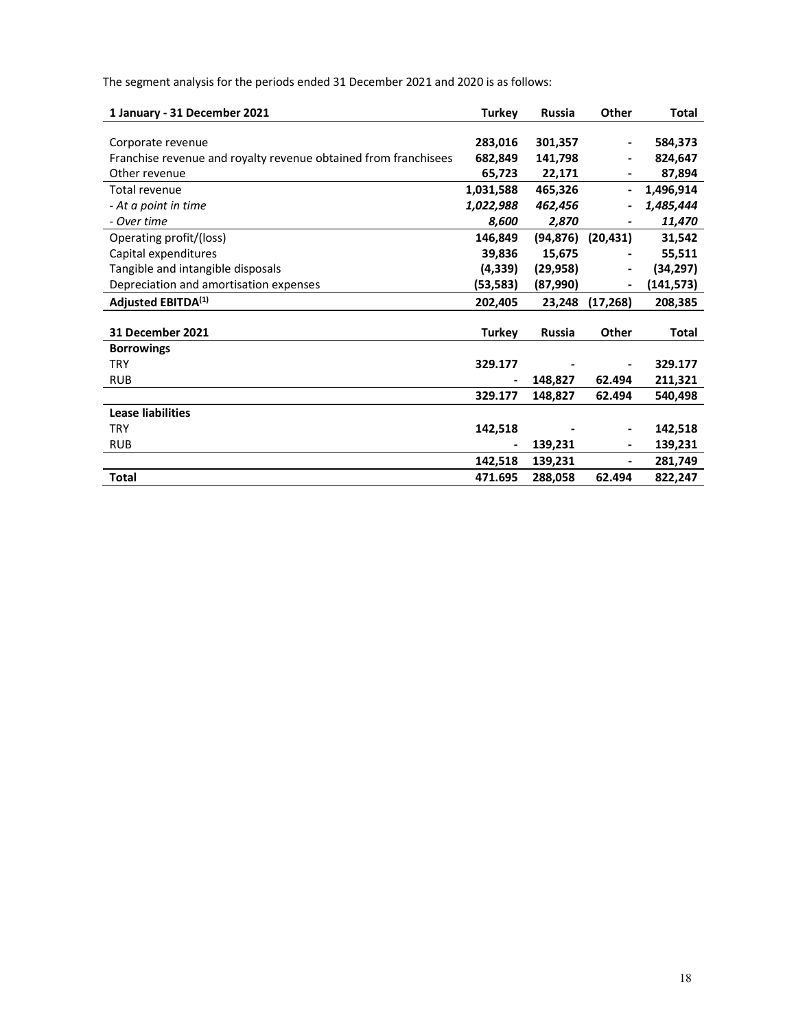The segment analysis for the periods ended 31 December 2021 and 2020 is as follows:

| 1 January - 31 December 2021                                    | <b>Turkey</b>                | <b>Russia</b> | Other                        | <b>Total</b> |
|-----------------------------------------------------------------|------------------------------|---------------|------------------------------|--------------|
|                                                                 |                              |               |                              |              |
| Corporate revenue                                               | 283,016                      | 301,357       | $\overline{\phantom{a}}$     | 584,373      |
| Franchise revenue and royalty revenue obtained from franchisees | 682,849                      | 141,798       |                              | 824,647      |
| Other revenue                                                   | 65,723                       | 22,171        |                              | 87,894       |
| Total revenue                                                   | 1,031,588                    | 465,326       |                              | 1,496,914    |
| - At a point in time                                            | 1,022,988                    | 462,456       |                              | 1,485,444    |
| - Over time                                                     | 8,600                        | 2,870         |                              | 11,470       |
| Operating profit/(loss)                                         | 146,849                      | (94, 876)     | (20, 431)                    | 31,542       |
| Capital expenditures                                            | 39,836                       | 15,675        |                              | 55,511       |
| Tangible and intangible disposals                               | (4, 339)                     | (29, 958)     | $\qquad \qquad \blacksquare$ | (34, 297)    |
| Depreciation and amortisation expenses                          | (53, 583)                    | (87,990)      |                              | (141, 573)   |
| Adjusted EBITDA <sup>(1)</sup>                                  | 202,405                      | 23,248        | (17, 268)                    | 208,385      |
|                                                                 |                              |               |                              |              |
| <b>31 December 2021</b>                                         | <b>Turkey</b>                | <b>Russia</b> | <b>Other</b>                 | Total        |
| <b>Borrowings</b>                                               |                              |               |                              |              |
| <b>TRY</b>                                                      | 329.177                      |               |                              | 329.177      |
| <b>RUB</b>                                                      | $\qquad \qquad \blacksquare$ | 148,827       | 62.494                       | 211,321      |
|                                                                 | 329.177                      | 148,827       | 62.494                       | 540,498      |
| <b>Lease liabilities</b>                                        |                              |               |                              |              |
| <b>TRY</b>                                                      | 142,518                      |               | $\overline{\phantom{a}}$     | 142,518      |
| <b>RUB</b>                                                      |                              | 139,231       |                              | 139,231      |
|                                                                 | 142,518                      | 139,231       | -                            | 281,749      |
| <b>Total</b>                                                    | 471.695                      | 288,058       | 62.494                       | 822,247      |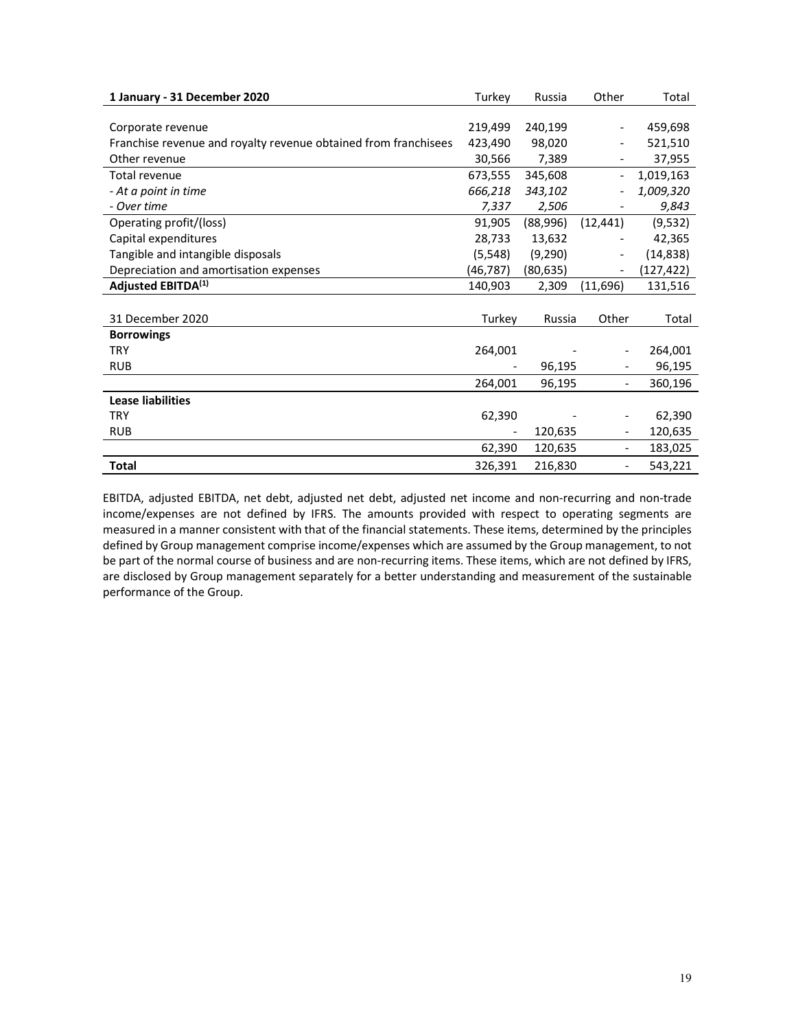| 1 January - 31 December 2020                                    | Turkey   | Russia    | Other                    | Total     |
|-----------------------------------------------------------------|----------|-----------|--------------------------|-----------|
|                                                                 |          |           |                          |           |
| Corporate revenue                                               | 219,499  | 240,199   |                          | 459,698   |
| Franchise revenue and royalty revenue obtained from franchisees | 423,490  | 98,020    |                          | 521,510   |
| Other revenue                                                   | 30,566   | 7,389     |                          | 37,955    |
| Total revenue                                                   | 673,555  | 345,608   | $\overline{\phantom{0}}$ | 1,019,163 |
| - At a point in time                                            | 666,218  | 343,102   |                          | 1,009,320 |
| - Over time                                                     | 7,337    | 2,506     |                          | 9,843     |
| Operating profit/(loss)                                         | 91,905   | (88,996)  | (12, 441)                | (9,532)   |
| Capital expenditures                                            | 28,733   | 13,632    |                          | 42,365    |
| Tangible and intangible disposals                               | (5, 548) | (9,290)   |                          | (14, 838) |
| Depreciation and amortisation expenses                          | (46,787) | (80, 635) |                          | (127,422) |
| Adjusted EBITDA <sup>(1)</sup>                                  | 140,903  | 2,309     | (11, 696)                | 131,516   |
|                                                                 |          |           |                          |           |
| 31 December 2020                                                | Turkey   | Russia    | Other                    | Total     |
| <b>Borrowings</b>                                               |          |           |                          |           |
| <b>TRY</b>                                                      | 264,001  |           |                          | 264,001   |
| <b>RUB</b>                                                      |          | 96,195    |                          | 96,195    |
|                                                                 | 264,001  | 96,195    | $\overline{\phantom{a}}$ | 360,196   |
| <b>Lease liabilities</b>                                        |          |           |                          |           |
| <b>TRY</b>                                                      | 62,390   |           | $\overline{\phantom{a}}$ | 62,390    |
| <b>RUB</b>                                                      |          | 120,635   | $\overline{\phantom{a}}$ | 120,635   |
|                                                                 | 62,390   | 120,635   | $\overline{\phantom{a}}$ | 183,025   |
| <b>Total</b>                                                    | 326,391  | 216,830   | $\overline{\phantom{a}}$ | 543,221   |

EBITDA, adjusted EBITDA, net debt, adjusted net debt, adjusted net income and non-recurring and non-trade income/expenses are not defined by IFRS. The amounts provided with respect to operating segments are measured in a manner consistent with that of the financial statements. These items, determined by the principles defined by Group management comprise income/expenses which are assumed by the Group management, to not be part of the normal course of business and are non-recurring items. These items, which are not defined by IFRS, are disclosed by Group management separately for a better understanding and measurement of the sustainable performance of the Group.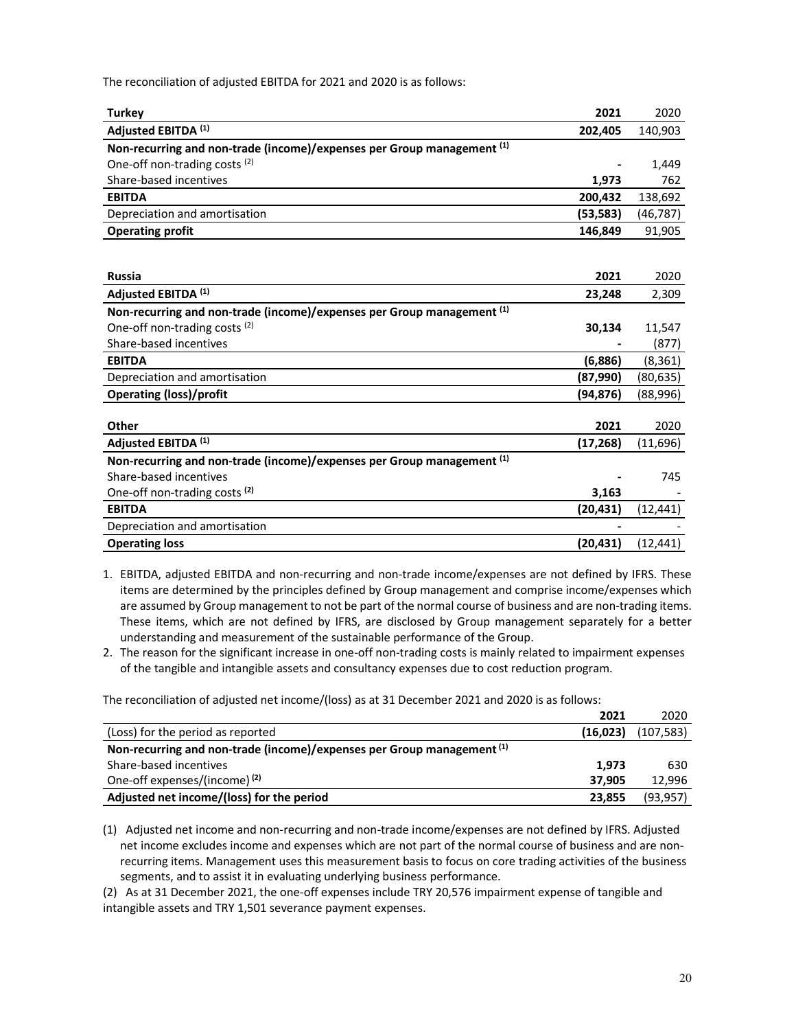The reconciliation of adjusted EBITDA for 2021 and 2020 is as follows:

| <b>Turkey</b>                                                          | 2021      | 2020      |
|------------------------------------------------------------------------|-----------|-----------|
| Adjusted EBITDA (1)                                                    | 202,405   | 140,903   |
| Non-recurring and non-trade (income)/expenses per Group management (1) |           |           |
| One-off non-trading costs <sup>(2)</sup>                               |           | 1,449     |
| Share-based incentives                                                 | 1,973     | 762       |
| <b>EBITDA</b>                                                          | 200,432   | 138,692   |
| Depreciation and amortisation                                          | (53, 583) | (46, 787) |
| <b>Operating profit</b>                                                | 146,849   | 91,905    |
|                                                                        |           |           |
|                                                                        |           |           |
| <b>Russia</b>                                                          | 2021      | 2020      |
| Adjusted EBITDA <sup>(1)</sup>                                         | 23,248    | 2,309     |
| Non-recurring and non-trade (income)/expenses per Group management (1) |           |           |
| One-off non-trading costs <sup>(2)</sup>                               | 30,134    | 11,547    |
| Share-based incentives                                                 |           | (877)     |
| <b>EBITDA</b>                                                          | (6,886)   | (8, 361)  |
| Depreciation and amortisation                                          | (87,990)  | (80, 635) |
| <b>Operating (loss)/profit</b>                                         | (94,876)  | (88,996)  |
|                                                                        |           |           |
| <b>Other</b>                                                           | 2021      | 2020      |
| Adjusted EBITDA (1)                                                    | (17, 268) | (11,696)  |
| Non-recurring and non-trade (income)/expenses per Group management (1) |           |           |
| Share-based incentives                                                 |           | 745       |
| One-off non-trading costs <sup>(2)</sup>                               | 3,163     |           |
| <b>EBITDA</b>                                                          | (20, 431) | (12, 441) |
| Depreciation and amortisation                                          |           |           |
| <b>Operating loss</b>                                                  | (20, 431) | (12, 441) |

1. EBITDA, adjusted EBITDA and non-recurring and non-trade income/expenses are not defined by IFRS. These items are determined by the principles defined by Group management and comprise income/expenses which are assumed by Group management to not be part of the normal course of business and are non-trading items. These items, which are not defined by IFRS, are disclosed by Group management separately for a better understanding and measurement of the sustainable performance of the Group.

2. The reason for the significant increase in one-off non-trading costs is mainly related to impairment expenses of the tangible and intangible assets and consultancy expenses due to cost reduction program.

The reconciliation of adjusted net income/(loss) as at 31 December 2021 and 2020 is as follows:

|                                                                        | 2021     | 2020       |
|------------------------------------------------------------------------|----------|------------|
| (Loss) for the period as reported                                      | (16,023) | (107, 583) |
| Non-recurring and non-trade (income)/expenses per Group management (1) |          |            |
| Share-based incentives                                                 | 1.973    | 630        |
| One-off expenses/(income) <sup>(2)</sup>                               | 37.905   | 12.996     |
| Adjusted net income/(loss) for the period                              | 23.855   | (93, 957)  |

(1) Adjusted net income and non-recurring and non-trade income/expenses are not defined by IFRS. Adjusted net income excludes income and expenses which are not part of the normal course of business and are nonrecurring items. Management uses this measurement basis to focus on core trading activities of the business segments, and to assist it in evaluating underlying business performance.

(2) As at 31 December 2021, the one-off expenses include TRY 20,576 impairment expense of tangible and intangible assets and TRY 1,501 severance payment expenses.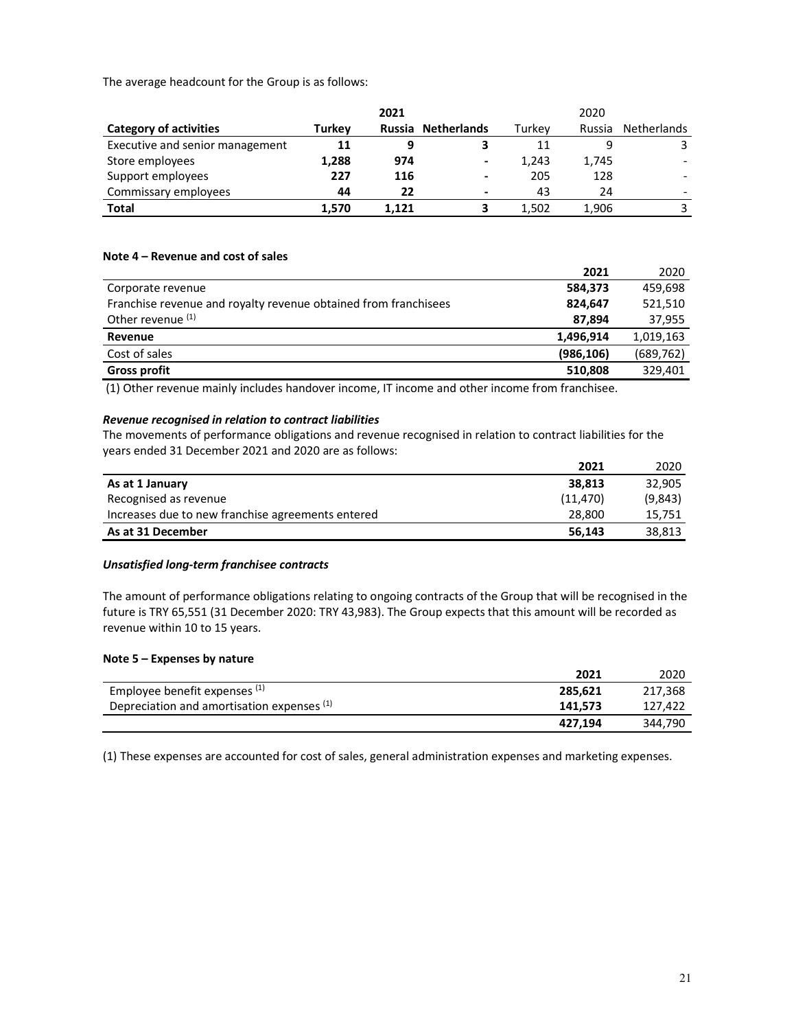The average headcount for the Group is as follows:

|                                 |               | 2021  |                          |        | 2020   |                    |
|---------------------------------|---------------|-------|--------------------------|--------|--------|--------------------|
| <b>Category of activities</b>   | <b>Turkey</b> |       | Russia Netherlands       | Turkev | Russia | <b>Netherlands</b> |
| Executive and senior management | 11            | 9     |                          | 11     |        |                    |
| Store employees                 | 1,288         | 974   | $\overline{\phantom{a}}$ | 1,243  | 1,745  |                    |
| Support employees               | 227           | 116   | $\overline{\phantom{a}}$ | 205    | 128    |                    |
| Commissary employees            | 44            | 22    | $\overline{\phantom{0}}$ | 43     | 24     |                    |
| <b>Total</b>                    | 1.570         | 1.121 |                          | 1.502  | 1,906  |                    |

## **Note 4 – Revenue and cost of sales**

|                                                                 | 2021       | 2020       |
|-----------------------------------------------------------------|------------|------------|
| Corporate revenue                                               | 584,373    | 459,698    |
| Franchise revenue and royalty revenue obtained from franchisees | 824.647    | 521,510    |
| Other revenue (1)                                               | 87.894     | 37,955     |
| Revenue                                                         | 1,496,914  | 1,019,163  |
| Cost of sales                                                   | (986, 106) | (689, 762) |
| <b>Gross profit</b>                                             | 510,808    | 329,401    |

(1) Other revenue mainly includes handover income, IT income and other income from franchisee.

#### *Revenue recognised in relation to contract liabilities*

The movements of performance obligations and revenue recognised in relation to contract liabilities for the years ended 31 December 2021 and 2020 are as follows:

|                                                   | 2021      | 2020    |
|---------------------------------------------------|-----------|---------|
| As at 1 January                                   | 38.813    | 32.905  |
| Recognised as revenue                             | (11, 470) | (9,843) |
| Increases due to new franchise agreements entered | 28.800    | 15.751  |
| As at 31 December                                 | 56.143    | 38.813  |

## *Unsatisfied long-term franchisee contracts*

The amount of performance obligations relating to ongoing contracts of the Group that will be recognised in the future is TRY 65,551 (31 December 2020: TRY 43,983). The Group expects that this amount will be recorded as revenue within 10 to 15 years.

#### **Note 5 – Expenses by nature**

|                                            | 2021    | 2020    |
|--------------------------------------------|---------|---------|
| Employee benefit expenses (1)              | 285.621 | 217.368 |
| Depreciation and amortisation expenses (1) | 141.573 | 127.422 |
|                                            | 427.194 | 344.790 |

(1) These expenses are accounted for cost of sales, general administration expenses and marketing expenses.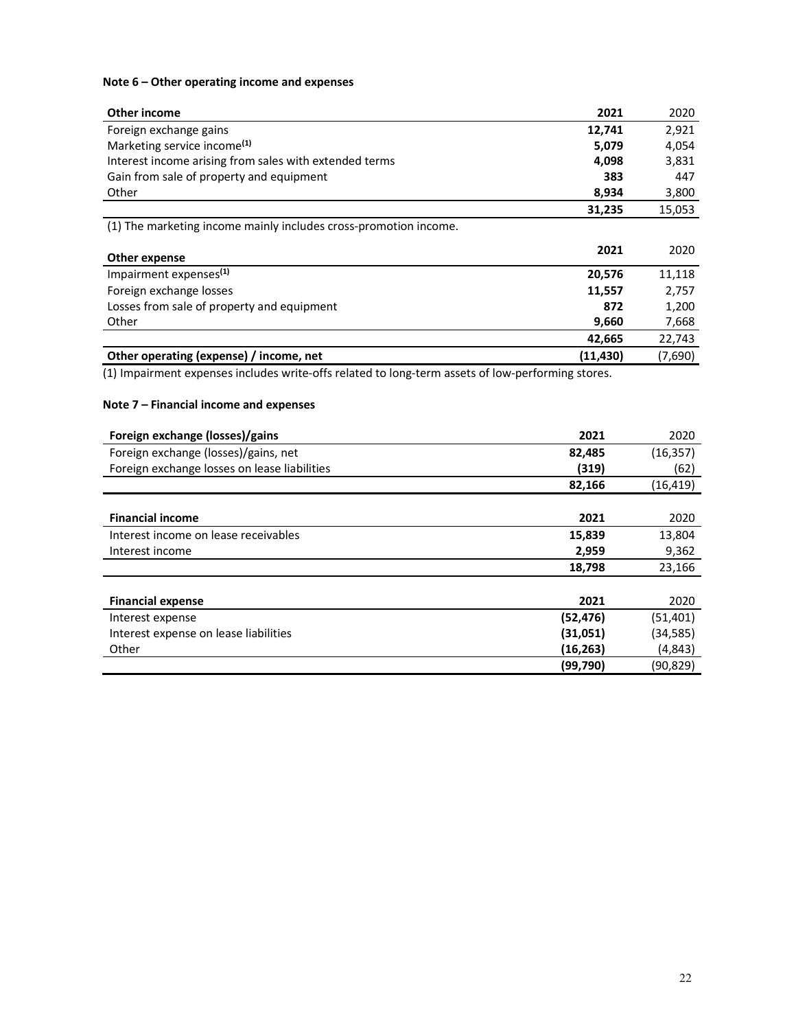## **Note 6 – Other operating income and expenses**

| Other income                                                     | 2021     | 2020    |
|------------------------------------------------------------------|----------|---------|
| Foreign exchange gains                                           | 12,741   | 2,921   |
| Marketing service income <sup>(1)</sup>                          | 5,079    | 4,054   |
| Interest income arising from sales with extended terms           | 4,098    | 3,831   |
| Gain from sale of property and equipment                         | 383      | 447     |
| Other                                                            | 8,934    | 3,800   |
|                                                                  | 31,235   | 15,053  |
| (1) The marketing income mainly includes cross-promotion income. |          |         |
| Other expense                                                    | 2021     | 2020    |
| Impairment expenses <sup>(1)</sup>                               | 20,576   | 11,118  |
| Foreign exchange losses                                          | 11,557   | 2,757   |
| Losses from sale of property and equipment                       | 872      | 1,200   |
| Other                                                            | 9,660    | 7,668   |
|                                                                  | 42,665   | 22,743  |
| Other operating (expense) / income, net                          | (11,430) | (7,690) |

(1) Impairment expenses includes write-offs related to long-term assets of low-performing stores.

# **Note 7 – Financial income and expenses**

| Foreign exchange (losses)/gains              | 2021      | 2020      |
|----------------------------------------------|-----------|-----------|
| Foreign exchange (losses)/gains, net         | 82,485    | (16, 357) |
| Foreign exchange losses on lease liabilities | (319)     | (62)      |
|                                              | 82,166    | (16, 419) |
|                                              |           |           |
| <b>Financial income</b>                      | 2021      | 2020      |
| Interest income on lease receivables         | 15,839    | 13,804    |
| Interest income                              | 2,959     | 9,362     |
|                                              | 18,798    | 23,166    |
|                                              |           |           |
| <b>Financial expense</b>                     | 2021      | 2020      |
| Interest expense                             | (52, 476) | (51, 401) |
| Interest expense on lease liabilities        | (31,051)  | (34, 585) |
| Other                                        | (16, 263) | (4,843)   |
|                                              | (99,790)  | (90,829)  |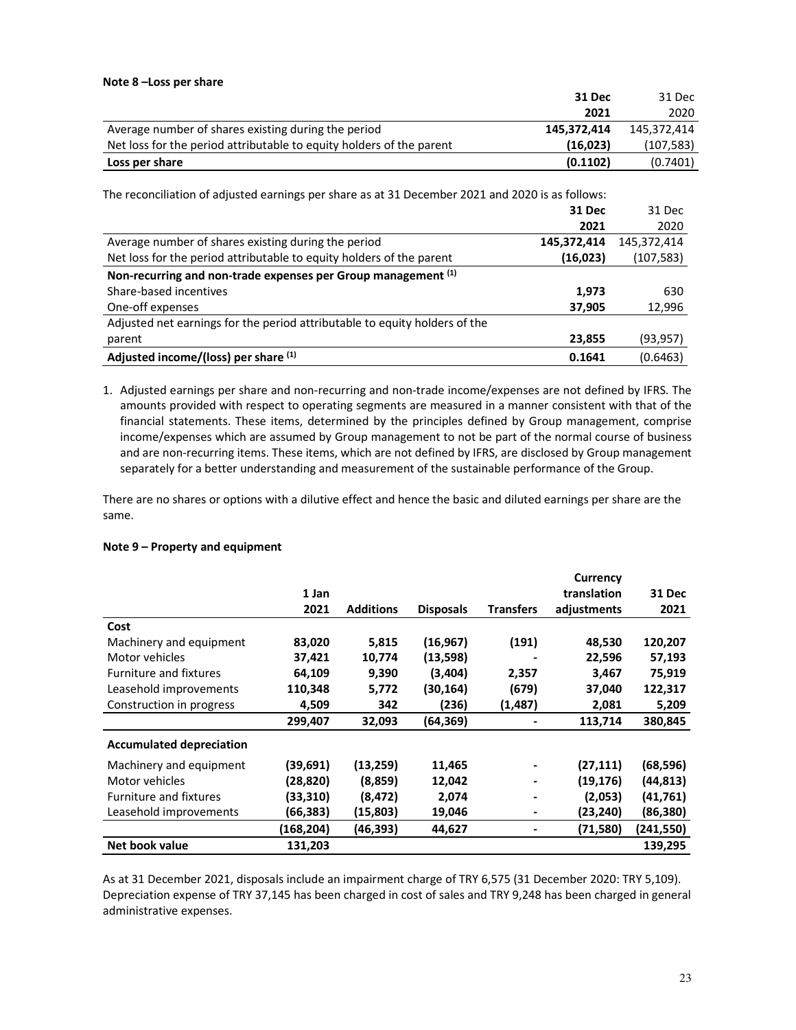|                                                                      | 31 Dec      | 31 Dec      |
|----------------------------------------------------------------------|-------------|-------------|
|                                                                      | 2021        | 2020        |
| Average number of shares existing during the period                  | 145,372,414 | 145.372.414 |
| Net loss for the period attributable to equity holders of the parent | (16,023)    | (107, 583)  |
| Loss per share                                                       | (0.1102)    | (0.7401)    |
|                                                                      |             |             |

| The reconciliation of adjusted earnings per share as at 31 December 2021 and 2020 is as follows: |               |             |  |  |  |
|--------------------------------------------------------------------------------------------------|---------------|-------------|--|--|--|
|                                                                                                  | <b>31 Dec</b> | 31 Dec      |  |  |  |
|                                                                                                  | 2021          | 2020        |  |  |  |
| Average number of shares existing during the period                                              | 145,372,414   | 145,372,414 |  |  |  |
| Net loss for the period attributable to equity holders of the parent                             | (16,023)      | (107, 583)  |  |  |  |
| Non-recurring and non-trade expenses per Group management (1)                                    |               |             |  |  |  |
| Share-based incentives                                                                           | 1,973         | 630         |  |  |  |
| One-off expenses                                                                                 | 37,905        | 12,996      |  |  |  |
| Adjusted net earnings for the period attributable to equity holders of the                       |               |             |  |  |  |
| parent                                                                                           | 23,855        | (93,957)    |  |  |  |
| Adjusted income/(loss) per share (1)                                                             | 0.1641        | (0.6463)    |  |  |  |

1. Adjusted earnings per share and non-recurring and non-trade income/expenses are not defined by IFRS. The amounts provided with respect to operating segments are measured in a manner consistent with that of the financial statements. These items, determined by the principles defined by Group management, comprise income/expenses which are assumed by Group management to not be part of the normal course of business and are non-recurring items. These items, which are not defined by IFRS, are disclosed by Group management separately for a better understanding and measurement of the sustainable performance of the Group.

There are no shares or options with a dilutive effect and hence the basic and diluted earnings per share are the same.

#### **Note 9 – Property and equipment**

|                                 |           |                  |                  |                  | Currency    |           |
|---------------------------------|-----------|------------------|------------------|------------------|-------------|-----------|
|                                 | 1 Jan     |                  |                  |                  | translation | 31 Dec    |
|                                 | 2021      | <b>Additions</b> | <b>Disposals</b> | <b>Transfers</b> | adjustments | 2021      |
| Cost                            |           |                  |                  |                  |             |           |
| Machinery and equipment         | 83,020    | 5,815            | (16, 967)        | (191)            | 48,530      | 120,207   |
| Motor vehicles                  | 37,421    | 10,774           | (13,598)         |                  | 22,596      | 57,193    |
| <b>Furniture and fixtures</b>   | 64,109    | 9,390            | (3,404)          | 2,357            | 3,467       | 75,919    |
| Leasehold improvements          | 110,348   | 5,772            | (30, 164)        | (679)            | 37,040      | 122,317   |
| Construction in progress        | 4,509     | 342              | (236)            | (1,487)          | 2,081       | 5,209     |
|                                 | 299,407   | 32,093           | (64, 369)        |                  | 113,714     | 380,845   |
| <b>Accumulated depreciation</b> |           |                  |                  |                  |             |           |
| Machinery and equipment         | (39,691)  | (13, 259)        | 11,465           |                  | (27, 111)   | (68, 596) |
| Motor vehicles                  | (28,820)  | (8,859)          | 12,042           |                  | (19, 176)   | (44, 813) |
| <b>Furniture and fixtures</b>   | (33, 310) | (8, 472)         | 2,074            |                  | (2,053)     | (41, 761) |
| Leasehold improvements          | (66, 383) | (15,803)         | 19,046           |                  | (23, 240)   | (86, 380) |
|                                 | (168,204) | (46, 393)        | 44,627           |                  | (71, 580)   | (241,550) |
| Net book value                  | 131,203   |                  |                  |                  |             | 139,295   |

As at 31 December 2021, disposals include an impairment charge of TRY 6,575 (31 December 2020: TRY 5,109). Depreciation expense of TRY 37,145 has been charged in cost of sales and TRY 9,248 has been charged in general administrative expenses.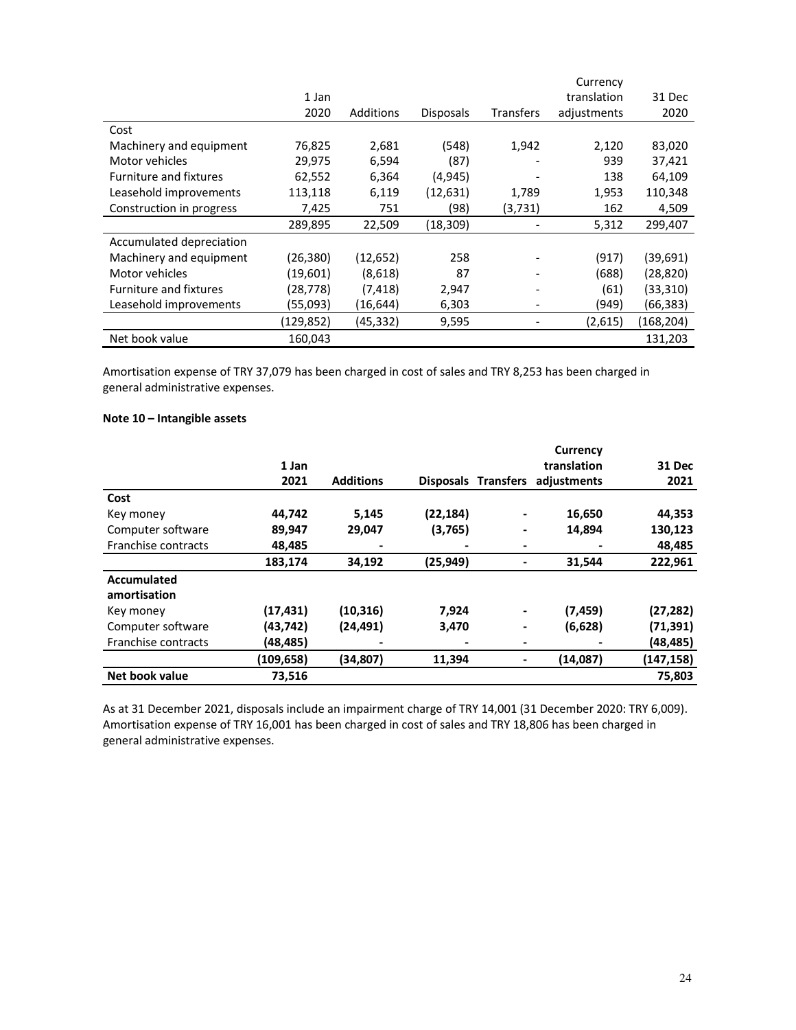|                               |           |           |                  |                              | Currency    |            |
|-------------------------------|-----------|-----------|------------------|------------------------------|-------------|------------|
|                               | 1 Jan     |           |                  |                              | translation | 31 Dec     |
|                               | 2020      | Additions | <b>Disposals</b> | <b>Transfers</b>             | adjustments | 2020       |
| Cost                          |           |           |                  |                              |             |            |
| Machinery and equipment       | 76,825    | 2,681     | (548)            | 1,942                        | 2,120       | 83,020     |
| Motor vehicles                | 29,975    | 6,594     | (87)             |                              | 939         | 37,421     |
| <b>Furniture and fixtures</b> | 62,552    | 6,364     | (4,945)          |                              | 138         | 64,109     |
| Leasehold improvements        | 113,118   | 6,119     | (12, 631)        | 1,789                        | 1,953       | 110,348    |
| Construction in progress      | 7,425     | 751       | (98)             | (3,731)                      | 162         | 4,509      |
|                               | 289,895   | 22,509    | (18, 309)        |                              | 5,312       | 299,407    |
| Accumulated depreciation      |           |           |                  |                              |             |            |
| Machinery and equipment       | (26,380)  | (12, 652) | 258              |                              | (917)       | (39, 691)  |
| Motor vehicles                | (19,601)  | (8,618)   | 87               | $\qquad \qquad \blacksquare$ | (688)       | (28, 820)  |
| <b>Furniture and fixtures</b> | (28,778)  | (7, 418)  | 2,947            |                              | (61)        | (33,310)   |
| Leasehold improvements        | (55,093)  | (16, 644) | 6,303            |                              | (949)       | (66, 383)  |
|                               | (129,852) | (45,332)  | 9,595            |                              | (2,615)     | (168, 204) |
| Net book value                | 160,043   |           |                  |                              |             | 131,203    |

Amortisation expense of TRY 37,079 has been charged in cost of sales and TRY 8,253 has been charged in general administrative expenses.

## **Note 10 – Intangible assets**

|                     |           |                  |           |                     | Currency    |           |
|---------------------|-----------|------------------|-----------|---------------------|-------------|-----------|
|                     | 1 Jan     |                  |           |                     | translation | 31 Dec    |
|                     | 2021      | <b>Additions</b> |           | Disposals Transfers | adjustments | 2021      |
| Cost                |           |                  |           |                     |             |           |
| Key money           | 44,742    | 5,145            | (22, 184) | -                   | 16,650      | 44,353    |
| Computer software   | 89,947    | 29,047           | (3,765)   |                     | 14,894      | 130,123   |
| Franchise contracts | 48,485    |                  |           |                     |             | 48,485    |
|                     | 183,174   | 34,192           | (25, 949) |                     | 31,544      | 222,961   |
| <b>Accumulated</b>  |           |                  |           |                     |             |           |
| amortisation        |           |                  |           |                     |             |           |
| Key money           | (17, 431) | (10, 316)        | 7,924     |                     | (7, 459)    | (27, 282) |
| Computer software   | (43,742)  | (24, 491)        | 3,470     |                     | (6,628)     | (71, 391) |
| Franchise contracts | (48,485)  |                  |           |                     |             | (48,485)  |
|                     | (109,658) | (34,807)         | 11,394    |                     | (14,087)    | (147,158) |
| Net book value      | 73,516    |                  |           |                     |             | 75,803    |

As at 31 December 2021, disposals include an impairment charge of TRY 14,001 (31 December 2020: TRY 6,009). Amortisation expense of TRY 16,001 has been charged in cost of sales and TRY 18,806 has been charged in general administrative expenses.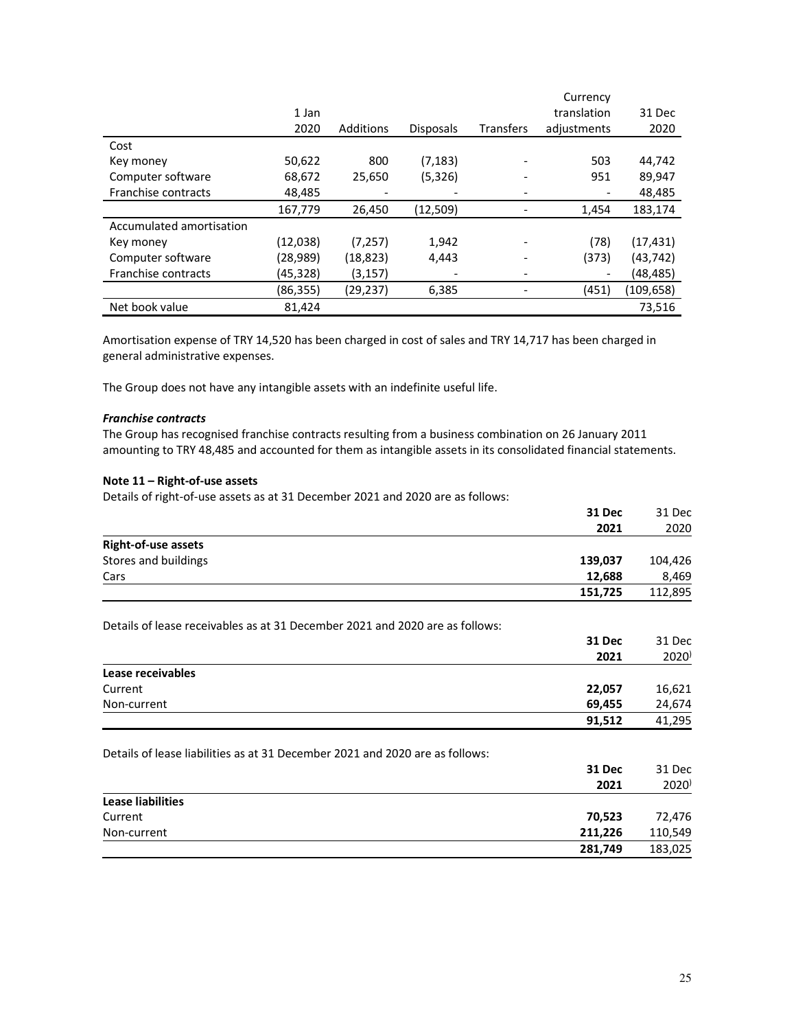|                          |          |           |                  |                  | Currency    |           |
|--------------------------|----------|-----------|------------------|------------------|-------------|-----------|
|                          | 1 Jan    |           |                  |                  | translation | 31 Dec    |
|                          | 2020     | Additions | <b>Disposals</b> | <b>Transfers</b> | adjustments | 2020      |
| Cost                     |          |           |                  |                  |             |           |
| Key money                | 50,622   | 800       | (7, 183)         |                  | 503         | 44,742    |
| Computer software        | 68,672   | 25,650    | (5,326)          |                  | 951         | 89,947    |
| Franchise contracts      | 48,485   |           |                  |                  |             | 48,485    |
|                          | 167,779  | 26,450    | (12,509)         |                  | 1,454       | 183,174   |
| Accumulated amortisation |          |           |                  |                  |             |           |
| Key money                | (12,038) | (7, 257)  | 1,942            |                  | (78)        | (17, 431) |
| Computer software        | (28,989) | (18, 823) | 4,443            |                  | (373)       | (43,742)  |
| Franchise contracts      | (45,328) | (3, 157)  |                  |                  |             | (48,485)  |
|                          | (86,355) | (29,237)  | 6,385            |                  | (451)       | (109,658) |
| Net book value           | 81.424   |           |                  |                  |             | 73.516    |

Amortisation expense of TRY 14,520 has been charged in cost of sales and TRY 14,717 has been charged in general administrative expenses.

The Group does not have any intangible assets with an indefinite useful life.

#### *Franchise contracts*

The Group has recognised franchise contracts resulting from a business combination on 26 January 2011 amounting to TRY 48,485 and accounted for them as intangible assets in its consolidated financial statements.

#### **Note 11 – Right-of-use assets**

Details of right-of-use assets as at 31 December 2021 and 2020 are as follows:

|                                                                              | 31 Dec  | 31 Dec              |
|------------------------------------------------------------------------------|---------|---------------------|
|                                                                              | 2021    | 2020                |
| <b>Right-of-use assets</b>                                                   |         |                     |
| Stores and buildings                                                         | 139,037 | 104,426             |
| Cars                                                                         | 12,688  | 8,469               |
|                                                                              | 151,725 | 112,895             |
| Details of lease receivables as at 31 December 2021 and 2020 are as follows: |         |                     |
|                                                                              | 31 Dec  | 31 Dec              |
|                                                                              | 2021    | $2020$ <sup>)</sup> |
| Lease receivables                                                            |         |                     |
| Current                                                                      | 22,057  | 16,621              |
| Non-current                                                                  | 69,455  | 24,674              |
|                                                                              | 91,512  | 41,295              |
| Details of lease liabilities as at 31 December 2021 and 2020 are as follows: |         |                     |
|                                                                              | 31 Dec  | 31 Dec              |
|                                                                              | 2021    | $2020$ <sup>)</sup> |
| <b>Lease liabilities</b>                                                     |         |                     |
| Current                                                                      | 70,523  | 72,476              |
| Non-current                                                                  | 211,226 | 110,549             |
|                                                                              | 281,749 | 183,025             |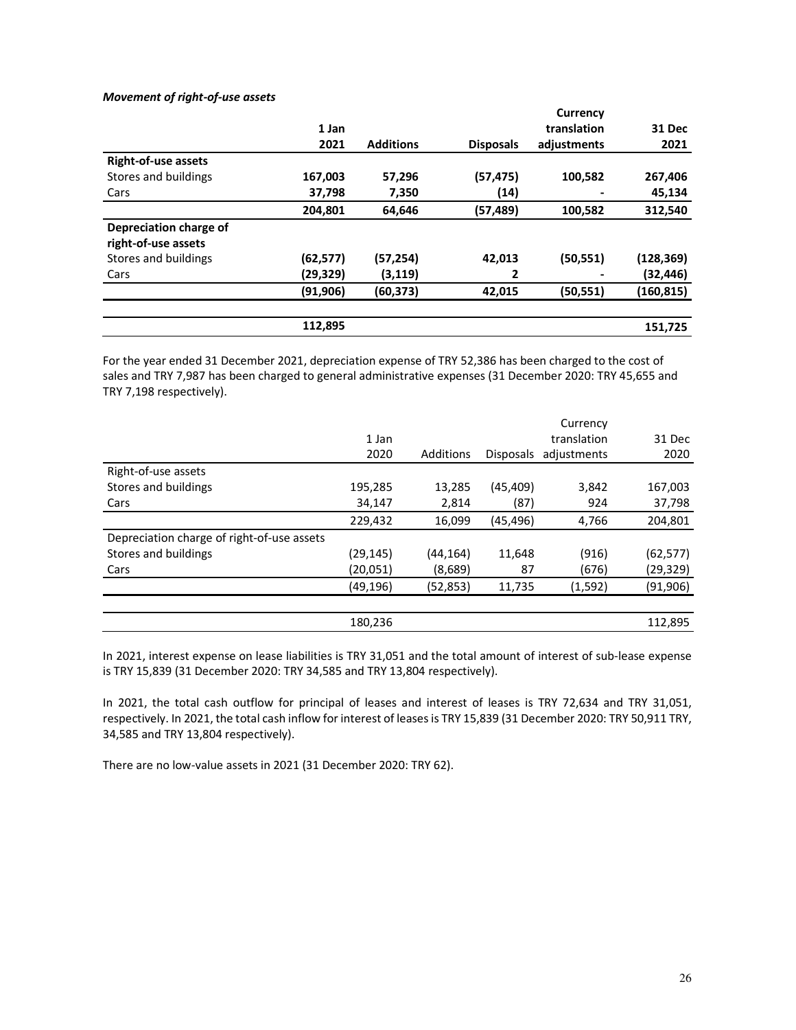## *Movement of right-of-use assets*

|                            |          |                  |                  | Currency    |               |
|----------------------------|----------|------------------|------------------|-------------|---------------|
|                            | 1 Jan    |                  |                  | translation | <b>31 Dec</b> |
|                            | 2021     | <b>Additions</b> | <b>Disposals</b> | adjustments | 2021          |
| <b>Right-of-use assets</b> |          |                  |                  |             |               |
| Stores and buildings       | 167,003  | 57,296           | (57, 475)        | 100,582     | 267,406       |
| Cars                       | 37,798   | 7,350            | (14)             |             | 45,134        |
|                            | 204,801  | 64,646           | (57, 489)        | 100,582     | 312,540       |
| Depreciation charge of     |          |                  |                  |             |               |
| right-of-use assets        |          |                  |                  |             |               |
| Stores and buildings       | (62,577) | (57,254)         | 42,013           | (50, 551)   | (128, 369)    |
| Cars                       | (29,329) | (3,119)          | 2                |             | (32,446)      |
|                            | (91,906) | (60,373)         | 42,015           | (50, 551)   | (160, 815)    |
|                            |          |                  |                  |             |               |
|                            | 112,895  |                  |                  |             | 151,725       |

For the year ended 31 December 2021, depreciation expense of TRY 52,386 has been charged to the cost of sales and TRY 7,987 has been charged to general administrative expenses (31 December 2020: TRY 45,655 and TRY 7,198 respectively).

|                                            |           |           |                  | Currency    |           |
|--------------------------------------------|-----------|-----------|------------------|-------------|-----------|
|                                            | 1 Jan     |           |                  | translation | 31 Dec    |
|                                            | 2020      | Additions | <b>Disposals</b> | adjustments | 2020      |
| Right-of-use assets                        |           |           |                  |             |           |
| Stores and buildings                       | 195,285   | 13,285    | (45, 409)        | 3,842       | 167,003   |
| Cars                                       | 34,147    | 2,814     | (87)             | 924         | 37,798    |
|                                            | 229,432   | 16,099    | (45, 496)        | 4,766       | 204,801   |
| Depreciation charge of right-of-use assets |           |           |                  |             |           |
| Stores and buildings                       | (29, 145) | (44,164)  | 11,648           | (916)       | (62, 577) |
| Cars                                       | (20,051)  | (8,689)   | 87               | (676)       | (29, 329) |
|                                            | (49,196)  | (52,853)  | 11,735           | (1, 592)    | (91, 906) |
|                                            |           |           |                  |             |           |
|                                            | 180,236   |           |                  |             | 112,895   |
|                                            |           |           |                  |             |           |

In 2021, interest expense on lease liabilities is TRY 31,051 and the total amount of interest of sub-lease expense is TRY 15,839 (31 December 2020: TRY 34,585 and TRY 13,804 respectively).

In 2021, the total cash outflow for principal of leases and interest of leases is TRY 72,634 and TRY 31,051, respectively. In 2021, the total cash inflow for interest of leases is TRY 15,839 (31 December 2020: TRY 50,911 TRY, 34,585 and TRY 13,804 respectively).

There are no low-value assets in 2021 (31 December 2020: TRY 62).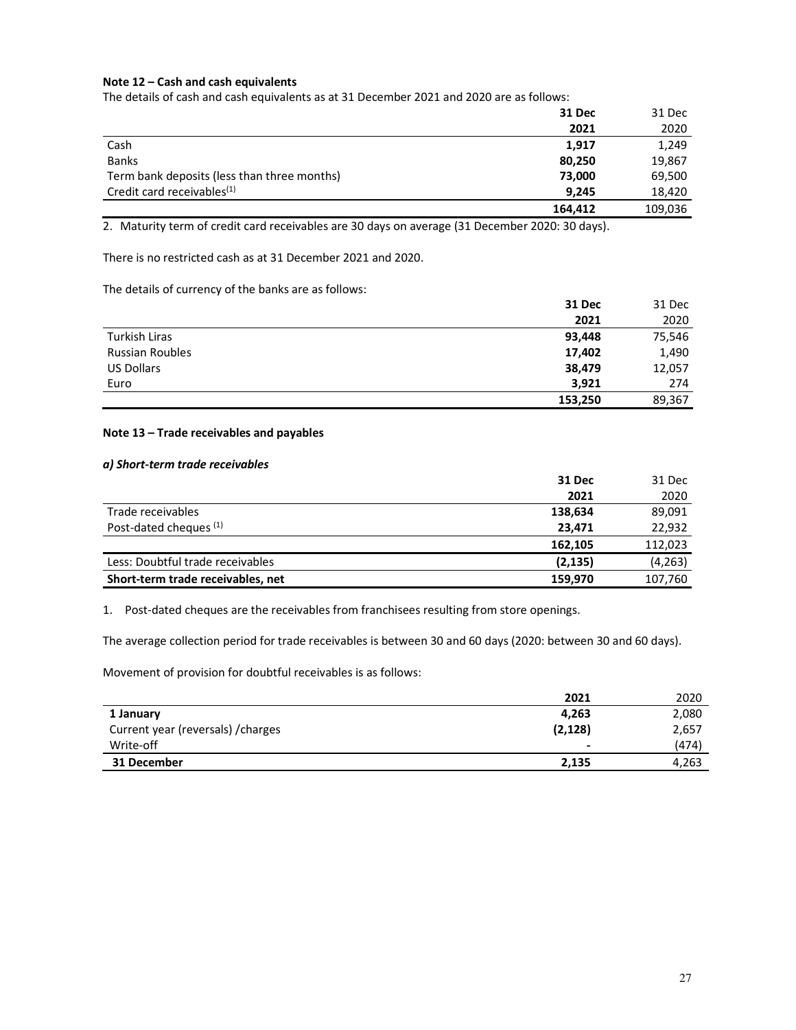## **Note 12 – Cash and cash equivalents**

The details of cash and cash equivalents as at 31 December 2021 and 2020 are as follows:

|                                             | 31 Dec  | 31 Dec  |
|---------------------------------------------|---------|---------|
|                                             | 2021    | 2020    |
| Cash                                        | 1,917   | 1,249   |
| <b>Banks</b>                                | 80,250  | 19,867  |
| Term bank deposits (less than three months) | 73,000  | 69,500  |
| Credit card receivables <sup>(1)</sup>      | 9.245   | 18,420  |
|                                             | 164,412 | 109,036 |

2. Maturity term of credit card receivables are 30 days on average (31 December 2020: 30 days).

There is no restricted cash as at 31 December 2021 and 2020.

The details of currency of the banks are as follows:

|                        | <b>31 Dec</b> | 31 Dec |
|------------------------|---------------|--------|
|                        | 2021          | 2020   |
| Turkish Liras          | 93,448        | 75,546 |
| <b>Russian Roubles</b> | 17,402        | 1,490  |
| <b>US Dollars</b>      | 38,479        | 12,057 |
| Euro                   | 3,921         | 274    |
|                        | 153,250       | 89,367 |

## **Note 13 – Trade receivables and payables**

## *a) Short-term trade receivables*

|                                   | 31 Dec   | 31 Dec   |
|-----------------------------------|----------|----------|
|                                   | 2021     | 2020     |
| Trade receivables                 | 138,634  | 89,091   |
| Post-dated cheques <sup>(1)</sup> | 23,471   | 22,932   |
|                                   | 162.105  | 112,023  |
| Less: Doubtful trade receivables  | (2, 135) | (4, 263) |
| Short-term trade receivables, net | 159,970  | 107,760  |

1. Post-dated cheques are the receivables from franchisees resulting from store openings.

The average collection period for trade receivables is between 30 and 60 days (2020: between 30 and 60 days).

Movement of provision for doubtful receivables is as follows:

|                                    | 2021     | 2020  |
|------------------------------------|----------|-------|
| 1 January                          | 4,263    | 2,080 |
| Current year (reversals) / charges | (2, 128) | 2,657 |
| Write-off                          | -        | (474) |
| 31 December                        | 2,135    | 4,263 |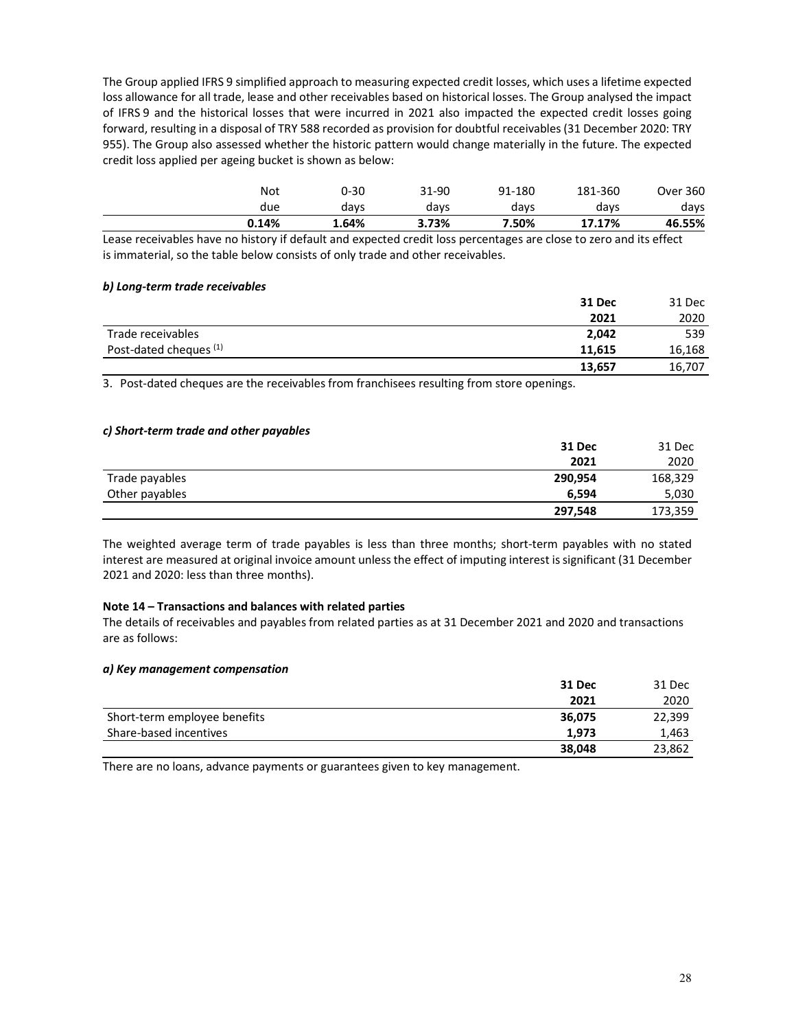The Group applied IFRS 9 simplified approach to measuring expected credit losses, which uses a lifetime expected loss allowance for all trade, lease and other receivables based on historical losses. The Group analysed the impact of IFRS 9 and the historical losses that were incurred in 2021 also impacted the expected credit losses going forward, resulting in a disposal of TRY 588 recorded as provision for doubtful receivables (31 December 2020: TRY 955). The Group also assessed whether the historic pattern would change materially in the future. The expected credit loss applied per ageing bucket is shown as below:

| 0.14% | 1.64% | 3.73% | 7.50%  | 46.55%<br>17.17%           |
|-------|-------|-------|--------|----------------------------|
| due   | days  | days  | davs   | davs<br>days               |
| Not   | 0-30  | 31-90 | 91-180 | <b>Over 360</b><br>181-360 |

Lease receivables have no history if default and expected credit loss percentages are close to zero and its effect is immaterial, so the table below consists of only trade and other receivables.

## *b) Long-term trade receivables*

|                                   | 31 Dec | 31 Dec |
|-----------------------------------|--------|--------|
|                                   | 2021   | 2020   |
| Trade receivables                 | 2,042  | 539    |
| Post-dated cheques <sup>(1)</sup> | 11,615 | 16,168 |
|                                   | 13,657 | 16,707 |

3. Post-dated cheques are the receivables from franchisees resulting from store openings.

#### *c) Short-term trade and other payables*

|                | 31 Dec  | 31 Dec  |
|----------------|---------|---------|
|                | 2021    | 2020    |
| Trade payables | 290,954 | 168,329 |
| Other payables | 6.594   | 5,030   |
|                | 297,548 | 173,359 |

The weighted average term of trade payables is less than three months; short-term payables with no stated interest are measured at original invoice amount unless the effect of imputing interest is significant (31 December 2021 and 2020: less than three months).

#### **Note 14 – Transactions and balances with related parties**

The details of receivables and payables from related parties as at 31 December 2021 and 2020 and transactions are as follows:

#### *a) Key management compensation*

|                              | 31 Dec | 31 Dec |
|------------------------------|--------|--------|
|                              | 2021   | 2020   |
| Short-term employee benefits | 36,075 | 22,399 |
| Share-based incentives       | 1.973  | 1.463  |
|                              | 38,048 | 23,862 |

There are no loans, advance payments or guarantees given to key management.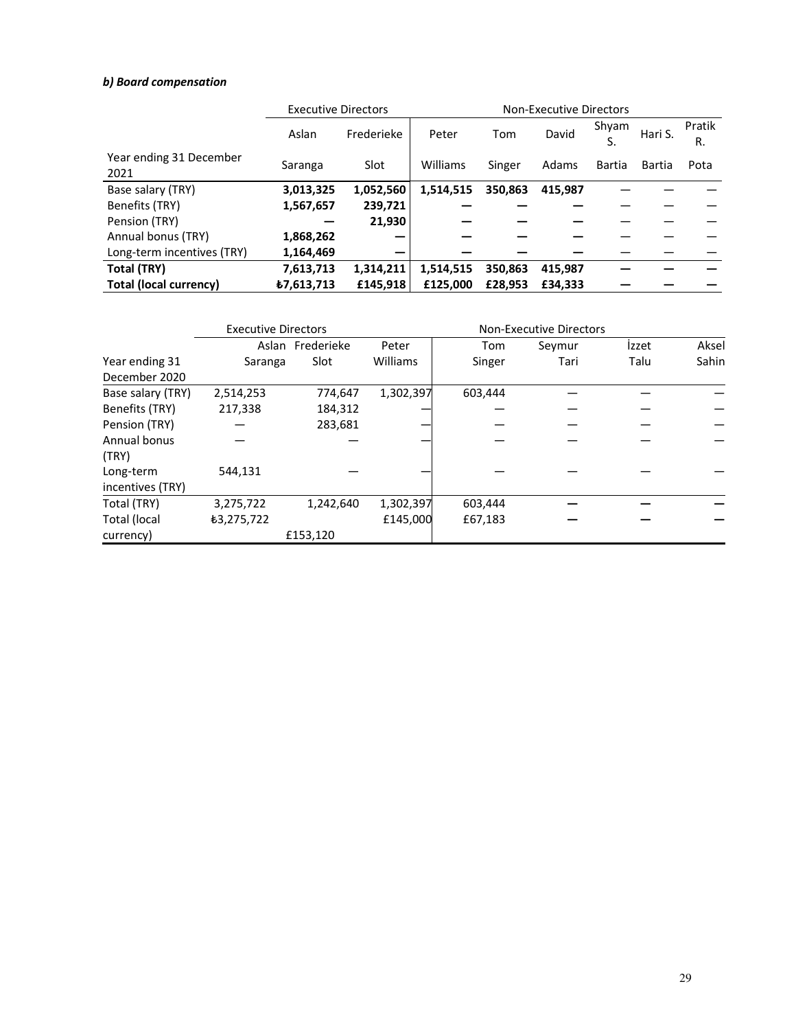## *b) Board compensation*

|                                 | <b>Executive Directors</b> |            |           | <b>Non-Executive Directors</b> |         |             |         |              |  |
|---------------------------------|----------------------------|------------|-----------|--------------------------------|---------|-------------|---------|--------------|--|
|                                 | Aslan                      | Frederieke | Peter     | Tom                            | David   | Shyam<br>S. | Hari S. | Pratik<br>R. |  |
| Year ending 31 December<br>2021 | Saranga                    | Slot       | Williams  | Singer                         | Adams   | Bartia      | Bartia  | Pota         |  |
| Base salary (TRY)               | 3,013,325                  | 1,052,560  | 1,514,515 | 350,863                        | 415.987 |             |         |              |  |
| Benefits (TRY)                  | 1,567,657                  | 239,721    |           |                                |         |             |         |              |  |
| Pension (TRY)                   |                            | 21,930     |           |                                |         |             |         |              |  |
| Annual bonus (TRY)              | 1,868,262                  |            |           |                                |         |             |         |              |  |
| Long-term incentives (TRY)      | 1,164,469                  |            |           |                                |         |             |         |              |  |
| Total (TRY)                     | 7,613,713                  | 1,314,211  | 1,514,515 | 350,863                        | 415,987 |             |         |              |  |
| Total (local currency)          | ₺7,613,713                 | £145.918   | £125,000  | £28.953                        | £34,333 |             |         |              |  |

|                     | <b>Executive Directors</b><br><b>Non-Executive Directors</b> |            |           |         |        |       |       |
|---------------------|--------------------------------------------------------------|------------|-----------|---------|--------|-------|-------|
|                     | Aslan                                                        | Frederieke | Peter     | Tom     | Seymur | Izzet | Aksel |
| Year ending 31      | Saranga                                                      | Slot       | Williams  | Singer  | Tari   | Talu  | Sahin |
| December 2020       |                                                              |            |           |         |        |       |       |
| Base salary (TRY)   | 2,514,253                                                    | 774,647    | 1,302,397 | 603,444 |        |       |       |
| Benefits (TRY)      | 217,338                                                      | 184,312    |           |         |        |       |       |
| Pension (TRY)       |                                                              | 283,681    |           |         |        |       |       |
| Annual bonus        |                                                              |            |           |         |        |       |       |
| (TRY)               |                                                              |            |           |         |        |       |       |
| Long-term           | 544,131                                                      |            |           |         |        |       |       |
| incentives (TRY)    |                                                              |            |           |         |        |       |       |
| Total (TRY)         | 3,275,722                                                    | 1,242,640  | 1,302,397 | 603,444 |        |       |       |
| <b>Total (local</b> | ₺3,275,722                                                   |            | £145.000  | £67,183 |        |       |       |
| currency)           |                                                              | £153,120   |           |         |        |       |       |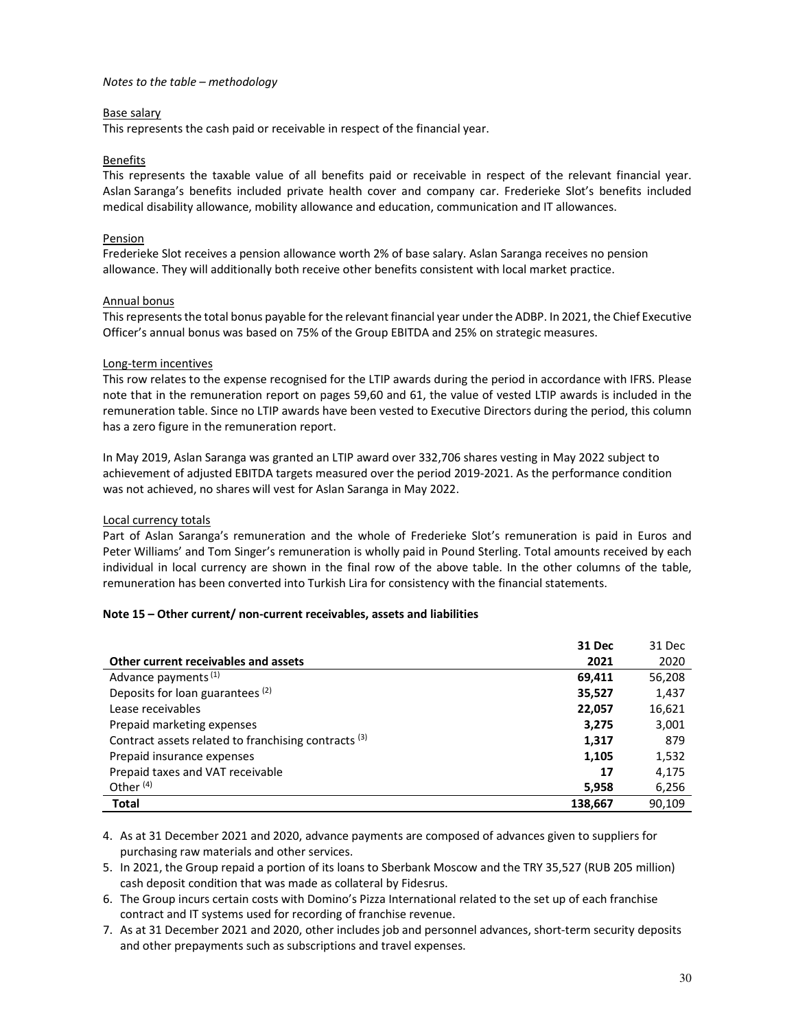### *Notes to the table – methodology*

## Base salary

This represents the cash paid or receivable in respect of the financial year.

## Benefits

This represents the taxable value of all benefits paid or receivable in respect of the relevant financial year. Aslan Saranga's benefits included private health cover and company car. Frederieke Slot's benefits included medical disability allowance, mobility allowance and education, communication and IT allowances.

## Pension

Frederieke Slot receives a pension allowance worth 2% of base salary. Aslan Saranga receives no pension allowance. They will additionally both receive other benefits consistent with local market practice.

## Annual bonus

This represents the total bonus payable for the relevant financial year under the ADBP. In 2021, the Chief Executive Officer's annual bonus was based on 75% of the Group EBITDA and 25% on strategic measures.

## Long-term incentives

This row relates to the expense recognised for the LTIP awards during the period in accordance with IFRS. Please note that in the remuneration report on pages 59,60 and 61, the value of vested LTIP awards is included in the remuneration table. Since no LTIP awards have been vested to Executive Directors during the period, this column has a zero figure in the remuneration report.

In May 2019, Aslan Saranga was granted an LTIP award over 332,706 shares vesting in May 2022 subject to achievement of adjusted EBITDA targets measured over the period 2019-2021. As the performance condition was not achieved, no shares will vest for Aslan Saranga in May 2022.

## Local currency totals

Part of Aslan Saranga's remuneration and the whole of Frederieke Slot's remuneration is paid in Euros and Peter Williams' and Tom Singer's remuneration is wholly paid in Pound Sterling. Total amounts received by each individual in local currency are shown in the final row of the above table. In the other columns of the table, remuneration has been converted into Turkish Lira for consistency with the financial statements.

#### **Note 15 – Other current/ non-current receivables, assets and liabilities**

|                                                                 | 31 Dec  | 31 Dec |
|-----------------------------------------------------------------|---------|--------|
| Other current receivables and assets                            | 2021    | 2020   |
| Advance payments <sup>(1)</sup>                                 | 69,411  | 56,208 |
| Deposits for loan guarantees (2)                                | 35,527  | 1,437  |
| Lease receivables                                               | 22,057  | 16,621 |
| Prepaid marketing expenses                                      | 3,275   | 3,001  |
| Contract assets related to franchising contracts <sup>(3)</sup> | 1,317   | 879    |
| Prepaid insurance expenses                                      | 1,105   | 1,532  |
| Prepaid taxes and VAT receivable                                | 17      | 4,175  |
| Other $(4)$                                                     | 5,958   | 6,256  |
| <b>Total</b>                                                    | 138,667 | 90.109 |

4. As at 31 December 2021 and 2020, advance payments are composed of advances given to suppliers for purchasing raw materials and other services.

- 5. In 2021, the Group repaid a portion of its loans to Sberbank Moscow and the TRY 35,527 (RUB 205 million) cash deposit condition that was made as collateral by Fidesrus.
- 6. The Group incurs certain costs with Domino's Pizza International related to the set up of each franchise contract and IT systems used for recording of franchise revenue.
- 7. As at 31 December 2021 and 2020, other includes job and personnel advances, short-term security deposits and other prepayments such as subscriptions and travel expenses.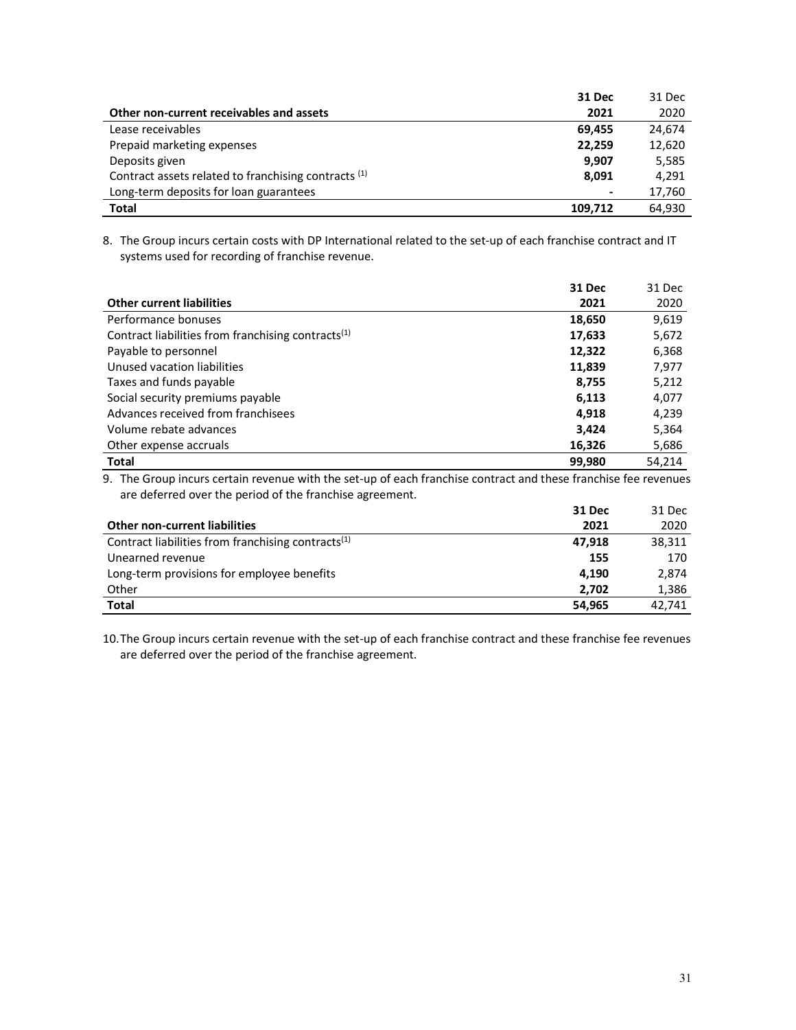|                                                                 | 31 Dec                   | 31 Dec |
|-----------------------------------------------------------------|--------------------------|--------|
| Other non-current receivables and assets                        | 2021                     | 2020   |
| Lease receivables                                               | 69.455                   | 24,674 |
| Prepaid marketing expenses                                      | 22,259                   | 12,620 |
| Deposits given                                                  | 9,907                    | 5,585  |
| Contract assets related to franchising contracts <sup>(1)</sup> | 8.091                    | 4,291  |
| Long-term deposits for loan guarantees                          | $\overline{\phantom{a}}$ | 17,760 |
| <b>Total</b>                                                    | 109,712                  | 64.930 |

8. The Group incurs certain costs with DP International related to the set-up of each franchise contract and IT systems used for recording of franchise revenue.

|                                                                | 31 Dec | 31 Dec |
|----------------------------------------------------------------|--------|--------|
| <b>Other current liabilities</b>                               | 2021   | 2020   |
| Performance bonuses                                            | 18,650 | 9,619  |
| Contract liabilities from franchising contracts <sup>(1)</sup> | 17,633 | 5,672  |
| Payable to personnel                                           | 12,322 | 6,368  |
| Unused vacation liabilities                                    | 11,839 | 7,977  |
| Taxes and funds payable                                        | 8,755  | 5,212  |
| Social security premiums payable                               | 6,113  | 4,077  |
| Advances received from franchisees                             | 4,918  | 4,239  |
| Volume rebate advances                                         | 3,424  | 5,364  |
| Other expense accruals                                         | 16,326 | 5,686  |
| <b>Total</b>                                                   | 99,980 | 54.214 |

9. The Group incurs certain revenue with the set-up of each franchise contract and these franchise fee revenues are deferred over the period of the franchise agreement.

|                                                                | 31 Dec | 31 Dec |
|----------------------------------------------------------------|--------|--------|
| <b>Other non-current liabilities</b>                           | 2021   | 2020   |
| Contract liabilities from franchising contracts <sup>(1)</sup> | 47.918 | 38.311 |
| Unearned revenue                                               | 155    | 170    |
| Long-term provisions for employee benefits                     | 4.190  | 2,874  |
| Other                                                          | 2.702  | 1,386  |
| <b>Total</b>                                                   | 54.965 | 42.741 |

10.The Group incurs certain revenue with the set-up of each franchise contract and these franchise fee revenues are deferred over the period of the franchise agreement.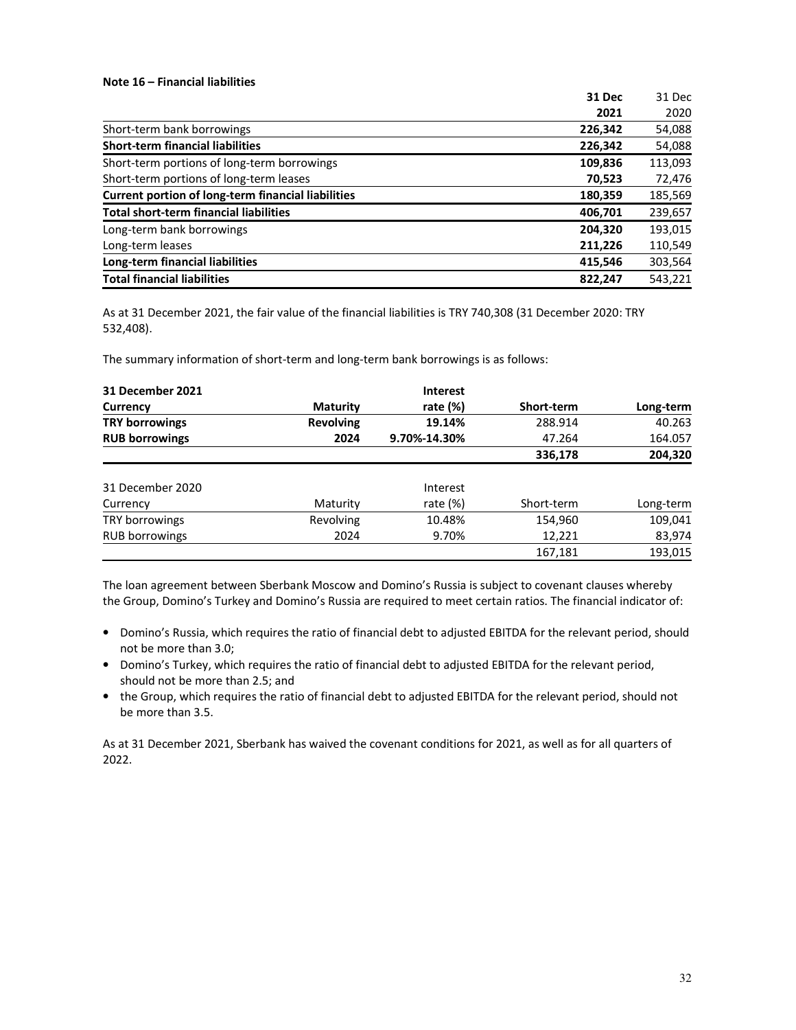#### **Note 16 – Financial liabilities**

|                                                           | 31 Dec  | 31 Dec  |
|-----------------------------------------------------------|---------|---------|
|                                                           | 2021    | 2020    |
| Short-term bank borrowings                                | 226,342 | 54,088  |
| <b>Short-term financial liabilities</b>                   | 226,342 | 54,088  |
| Short-term portions of long-term borrowings               | 109,836 | 113,093 |
| Short-term portions of long-term leases                   | 70,523  | 72,476  |
| <b>Current portion of long-term financial liabilities</b> | 180,359 | 185,569 |
| <b>Total short-term financial liabilities</b>             | 406,701 | 239,657 |
| Long-term bank borrowings                                 | 204.320 | 193,015 |
| Long-term leases                                          | 211,226 | 110,549 |
| Long-term financial liabilities                           | 415,546 | 303,564 |
| <b>Total financial liabilities</b>                        | 822,247 | 543,221 |

As at 31 December 2021, the fair value of the financial liabilities is TRY 740,308 (31 December 2020: TRY 532,408).

The summary information of short-term and long-term bank borrowings is as follows:

| <b>31 December 2021</b> |                  | <b>Interest</b> |            |           |
|-------------------------|------------------|-----------------|------------|-----------|
| Currency                | <b>Maturity</b>  | rate $(\%)$     | Short-term | Long-term |
| <b>TRY borrowings</b>   | <b>Revolving</b> | 19.14%          | 288.914    | 40.263    |
| <b>RUB borrowings</b>   | 2024             | 9.70%-14.30%    | 47.264     | 164.057   |
|                         |                  |                 | 336,178    | 204,320   |
| 31 December 2020        |                  | Interest        |            |           |
| Currency                | Maturity         | rate $(\%)$     | Short-term | Long-term |
| TRY borrowings          | <b>Revolving</b> | 10.48%          | 154,960    | 109,041   |
| RUB borrowings          | 2024             | 9.70%           | 12,221     | 83,974    |
|                         |                  |                 | 167,181    | 193.015   |

The loan agreement between Sberbank Moscow and Domino's Russia is subject to covenant clauses whereby the Group, Domino's Turkey and Domino's Russia are required to meet certain ratios. The financial indicator of:

- Domino's Russia, which requires the ratio of financial debt to adjusted EBITDA for the relevant period, should not be more than 3.0;
- Domino's Turkey, which requires the ratio of financial debt to adjusted EBITDA for the relevant period, should not be more than 2.5; and
- the Group, which requires the ratio of financial debt to adjusted EBITDA for the relevant period, should not be more than 3.5.

As at 31 December 2021, Sberbank has waived the covenant conditions for 2021, as well as for all quarters of 2022.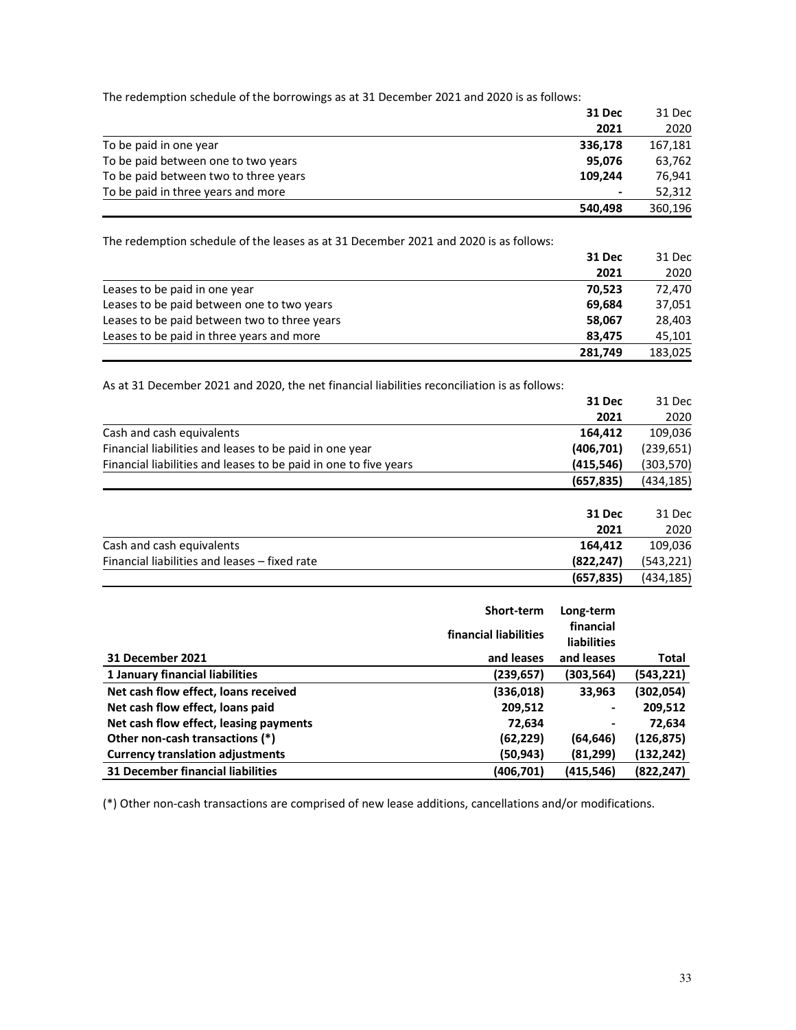The redemption schedule of the borrowings as at 31 December 2021 and 2020 is as follows:

|                                       | <b>31 Dec</b> | 31 Dec  |
|---------------------------------------|---------------|---------|
|                                       | 2021          | 2020    |
| To be paid in one year                | 336,178       | 167,181 |
| To be paid between one to two years   | 95.076        | 63,762  |
| To be paid between two to three years | 109.244       | 76.941  |
| To be paid in three years and more    | ٠             | 52,312  |
|                                       | 540,498       | 360,196 |

The redemption schedule of the leases as at 31 December 2021 and 2020 is as follows:

|                                              | 31 Dec  | 31 Dec  |
|----------------------------------------------|---------|---------|
|                                              | 2021    | 2020    |
| Leases to be paid in one year                | 70.523  | 72,470  |
| Leases to be paid between one to two years   | 69.684  | 37,051  |
| Leases to be paid between two to three years | 58.067  | 28,403  |
| Leases to be paid in three years and more    | 83.475  | 45.101  |
|                                              | 281,749 | 183,025 |

As at 31 December 2021 and 2020, the net financial liabilities reconciliation is as follows:

|                                                                  | 31 Dec     | 31 Dec     |
|------------------------------------------------------------------|------------|------------|
|                                                                  | 2021       | 2020       |
| Cash and cash equivalents                                        | 164,412    | 109,036    |
| Financial liabilities and leases to be paid in one year          | (406, 701) | (239, 651) |
| Financial liabilities and leases to be paid in one to five years | (415, 546) | (303,570)  |
|                                                                  | (657, 835) | (434, 185) |
|                                                                  | 31 Dec     | 31 Dec     |

|                                               | -----      | -----      |
|-----------------------------------------------|------------|------------|
|                                               | 2021       | 2020       |
| Cash and cash equivalents                     | 164.412    | 109,036    |
| Financial liabilities and leases – fixed rate | (822.247)  | (543, 221) |
|                                               | (657, 835) | (434, 185) |

|                                          | Short-term            | Long-term          |            |
|------------------------------------------|-----------------------|--------------------|------------|
|                                          | financial liabilities | financial          |            |
|                                          |                       | <b>liabilities</b> |            |
| 31 December 2021                         | and leases            | and leases         | Total      |
| 1 January financial liabilities          | (239,657)             | (303, 564)         | (543,221)  |
| Net cash flow effect, loans received     | (336,018)             | 33,963             | (302,054)  |
| Net cash flow effect, loans paid         | 209,512               | -                  | 209,512    |
| Net cash flow effect, leasing payments   | 72,634                |                    | 72,634     |
| Other non-cash transactions (*)          | (62,229)              | (64,646)           | (126,875)  |
| <b>Currency translation adjustments</b>  | (50,943)              | (81,299)           | (132, 242) |
| <b>31 December financial liabilities</b> | (406,701)             | (415, 546)         | (822, 247) |

(\*) Other non-cash transactions are comprised of new lease additions, cancellations and/or modifications.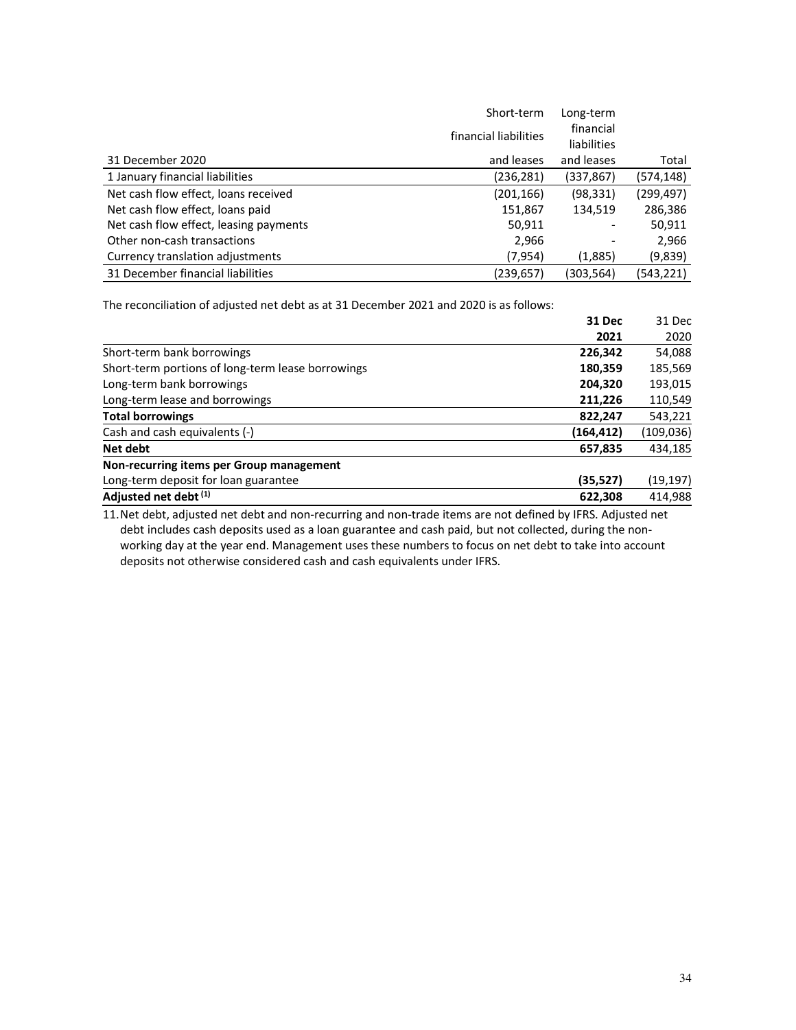|                                        | Short-term            | Long-term   |            |
|----------------------------------------|-----------------------|-------------|------------|
|                                        | financial liabilities | financial   |            |
|                                        |                       | liabilities |            |
| 31 December 2020                       | and leases            | and leases  | Total      |
| 1 January financial liabilities        | (236, 281)            | (337,867)   | (574,148)  |
| Net cash flow effect, loans received   | (201, 166)            | (98, 331)   | (299, 497) |
| Net cash flow effect, loans paid       | 151,867               | 134,519     | 286,386    |
| Net cash flow effect, leasing payments | 50,911                |             | 50,911     |
| Other non-cash transactions            | 2,966                 |             | 2,966      |
| Currency translation adjustments       | (7,954)               | (1,885)     | (9,839)    |
| 31 December financial liabilities      | (239, 657)            | (303,564)   | (543,221)  |

The reconciliation of adjusted net debt as at 31 December 2021 and 2020 is as follows:

|                                                   | 31 Dec     | 31 Dec     |
|---------------------------------------------------|------------|------------|
|                                                   | 2021       | 2020       |
| Short-term bank borrowings                        | 226,342    | 54,088     |
| Short-term portions of long-term lease borrowings | 180,359    | 185,569    |
| Long-term bank borrowings                         | 204,320    | 193,015    |
| Long-term lease and borrowings                    | 211,226    | 110,549    |
| <b>Total borrowings</b>                           | 822,247    | 543,221    |
| Cash and cash equivalents (-)                     | (164, 412) | (109, 036) |
| Net debt                                          | 657,835    | 434,185    |
| Non-recurring items per Group management          |            |            |
| Long-term deposit for loan guarantee              | (35, 527)  | (19, 197)  |
| Adjusted net debt (1)                             | 622,308    | 414,988    |

11.Net debt, adjusted net debt and non-recurring and non-trade items are not defined by IFRS. Adjusted net debt includes cash deposits used as a loan guarantee and cash paid, but not collected, during the nonworking day at the year end. Management uses these numbers to focus on net debt to take into account deposits not otherwise considered cash and cash equivalents under IFRS.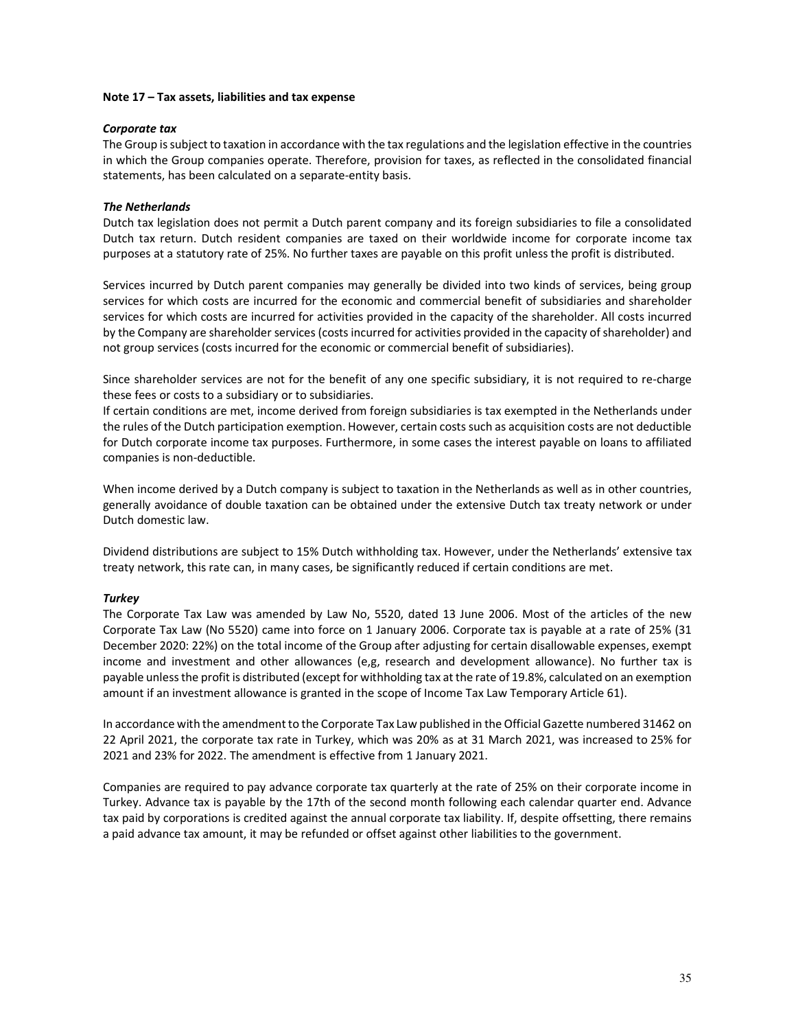#### **Note 17 – Tax assets, liabilities and tax expense**

#### *Corporate tax*

The Group is subject to taxation in accordance with the tax regulations and the legislation effective in the countries in which the Group companies operate. Therefore, provision for taxes, as reflected in the consolidated financial statements, has been calculated on a separate-entity basis.

### *The Netherlands*

Dutch tax legislation does not permit a Dutch parent company and its foreign subsidiaries to file a consolidated Dutch tax return. Dutch resident companies are taxed on their worldwide income for corporate income tax purposes at a statutory rate of 25%. No further taxes are payable on this profit unless the profit is distributed.

Services incurred by Dutch parent companies may generally be divided into two kinds of services, being group services for which costs are incurred for the economic and commercial benefit of subsidiaries and shareholder services for which costs are incurred for activities provided in the capacity of the shareholder. All costs incurred by the Company are shareholder services (costs incurred for activities provided in the capacity of shareholder) and not group services (costs incurred for the economic or commercial benefit of subsidiaries).

Since shareholder services are not for the benefit of any one specific subsidiary, it is not required to re-charge these fees or costs to a subsidiary or to subsidiaries.

If certain conditions are met, income derived from foreign subsidiaries is tax exempted in the Netherlands under the rules of the Dutch participation exemption. However, certain costs such as acquisition costs are not deductible for Dutch corporate income tax purposes. Furthermore, in some cases the interest payable on loans to affiliated companies is non-deductible.

When income derived by a Dutch company is subject to taxation in the Netherlands as well as in other countries, generally avoidance of double taxation can be obtained under the extensive Dutch tax treaty network or under Dutch domestic law.

Dividend distributions are subject to 15% Dutch withholding tax. However, under the Netherlands' extensive tax treaty network, this rate can, in many cases, be significantly reduced if certain conditions are met.

#### *Turkey*

The Corporate Tax Law was amended by Law No, 5520, dated 13 June 2006. Most of the articles of the new Corporate Tax Law (No 5520) came into force on 1 January 2006. Corporate tax is payable at a rate of 25% (31 December 2020: 22%) on the total income of the Group after adjusting for certain disallowable expenses, exempt income and investment and other allowances (e,g, research and development allowance). No further tax is payable unless the profit is distributed (except for withholding tax at the rate of 19.8%, calculated on an exemption amount if an investment allowance is granted in the scope of Income Tax Law Temporary Article 61).

In accordance with the amendment to the Corporate Tax Law published in the Official Gazette numbered 31462 on 22 April 2021, the corporate tax rate in Turkey, which was 20% as at 31 March 2021, was increased to 25% for 2021 and 23% for 2022. The amendment is effective from 1 January 2021.

Companies are required to pay advance corporate tax quarterly at the rate of 25% on their corporate income in Turkey. Advance tax is payable by the 17th of the second month following each calendar quarter end. Advance tax paid by corporations is credited against the annual corporate tax liability. If, despite offsetting, there remains a paid advance tax amount, it may be refunded or offset against other liabilities to the government.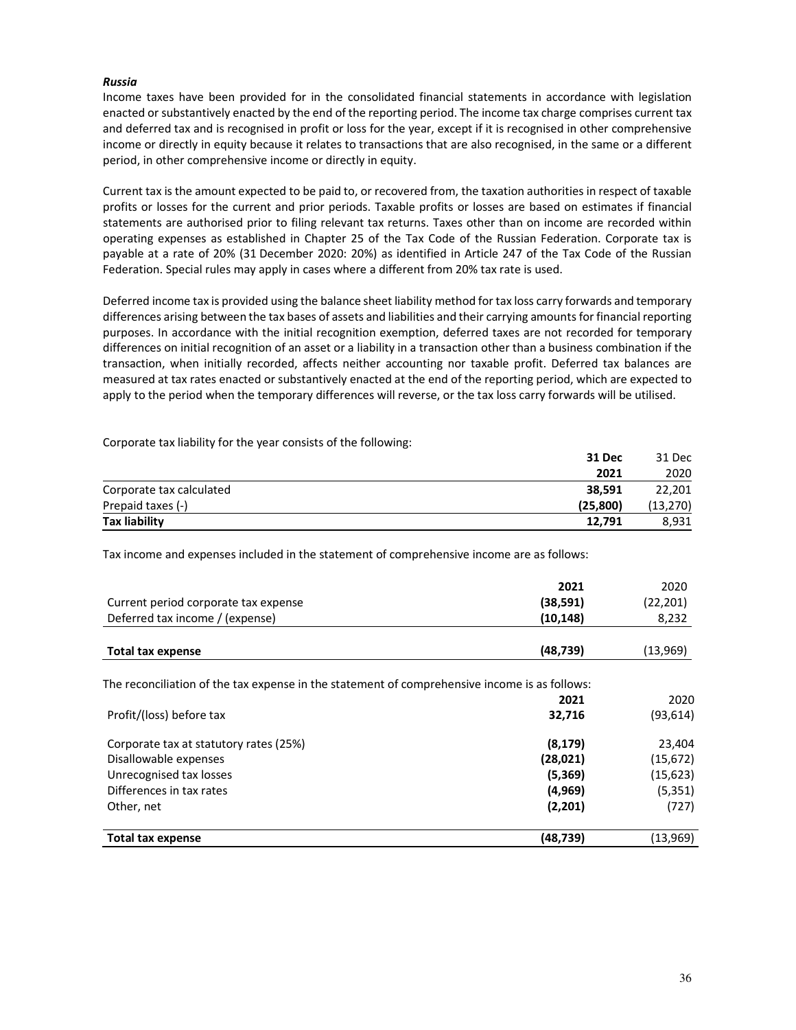## *Russia*

Income taxes have been provided for in the consolidated financial statements in accordance with legislation enacted or substantively enacted by the end of the reporting period. The income tax charge comprises current tax and deferred tax and is recognised in profit or loss for the year, except if it is recognised in other comprehensive income or directly in equity because it relates to transactions that are also recognised, in the same or a different period, in other comprehensive income or directly in equity.

Current tax is the amount expected to be paid to, or recovered from, the taxation authorities in respect of taxable profits or losses for the current and prior periods. Taxable profits or losses are based on estimates if financial statements are authorised prior to filing relevant tax returns. Taxes other than on income are recorded within operating expenses as established in Chapter 25 of the Tax Code of the Russian Federation. Corporate tax is payable at a rate of 20% (31 December 2020: 20%) as identified in Article 247 of the Tax Code of the Russian Federation. Special rules may apply in cases where a different from 20% tax rate is used.

Deferred income tax is provided using the balance sheet liability method for tax loss carry forwards and temporary differences arising between the tax bases of assets and liabilities and their carrying amounts for financial reporting purposes. In accordance with the initial recognition exemption, deferred taxes are not recorded for temporary differences on initial recognition of an asset or a liability in a transaction other than a business combination if the transaction, when initially recorded, affects neither accounting nor taxable profit. Deferred tax balances are measured at tax rates enacted or substantively enacted at the end of the reporting period, which are expected to apply to the period when the temporary differences will reverse, or the tax loss carry forwards will be utilised.

Corporate tax liability for the year consists of the following:

|                          | 31 Dec   | 31 Dec    |
|--------------------------|----------|-----------|
|                          | 2021     | 2020      |
| Corporate tax calculated | 38.591   | 22.201    |
| Prepaid taxes (-)        | (25.800) | (13, 270) |
| Tax liability            | 12.791   | 8,931     |

Tax income and expenses included in the statement of comprehensive income are as follows:

|                                                                                               | 2021      | 2020      |
|-----------------------------------------------------------------------------------------------|-----------|-----------|
| Current period corporate tax expense                                                          | (38, 591) | (22, 201) |
| Deferred tax income / (expense)                                                               | (10, 148) | 8,232     |
| <b>Total tax expense</b>                                                                      | (48, 739) | (13,969)  |
| The reconciliation of the tax expense in the statement of comprehensive income is as follows: |           |           |
|                                                                                               | 2021      | 2020      |
| Profit/(loss) before tax                                                                      | 32,716    | (93, 614) |
| Corporate tax at statutory rates (25%)                                                        | (8, 179)  | 23,404    |
| Disallowable expenses                                                                         | (28, 021) | (15, 672) |
| Unrecognised tax losses                                                                       | (5, 369)  | (15,623)  |
| Differences in tax rates                                                                      | (4,969)   | (5, 351)  |
| Other, net                                                                                    | (2, 201)  | (727)     |
| <b>Total tax expense</b>                                                                      | (48,739)  | (13,969)  |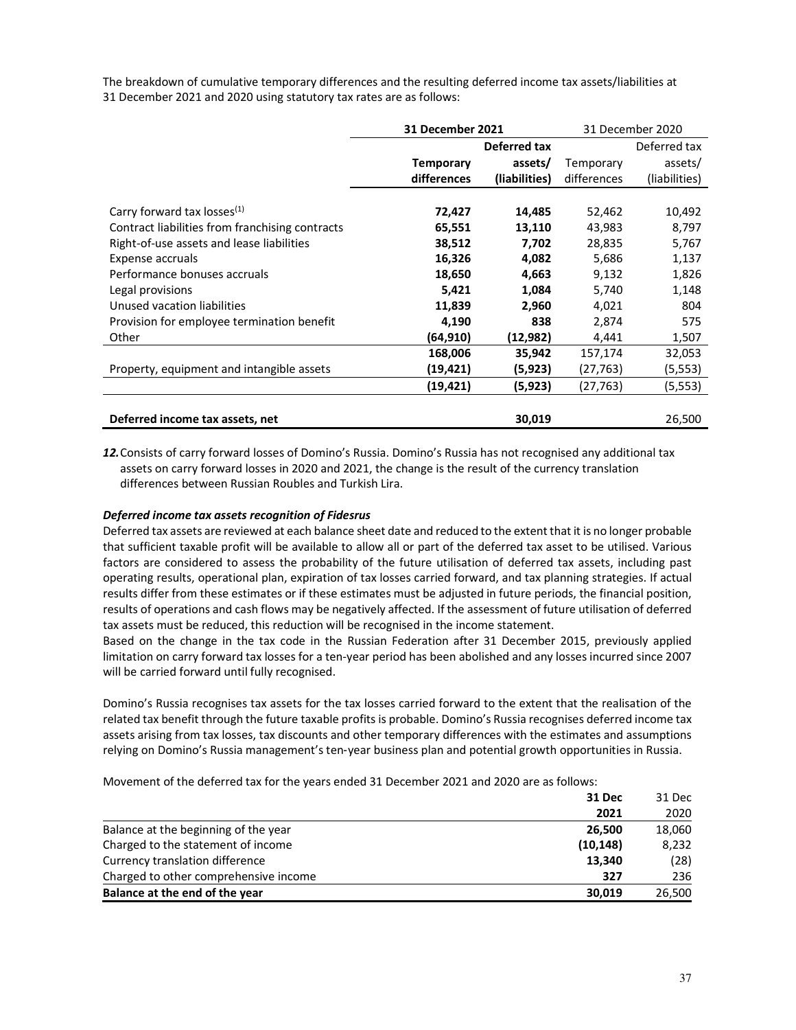The breakdown of cumulative temporary differences and the resulting deferred income tax assets/liabilities at 31 December 2021 and 2020 using statutory tax rates are as follows:

|                                                 | <b>31 December 2021</b> |               | 31 December 2020 |               |
|-------------------------------------------------|-------------------------|---------------|------------------|---------------|
|                                                 |                         | Deferred tax  |                  | Deferred tax  |
|                                                 | <b>Temporary</b>        | assets/       | Temporary        | assets/       |
|                                                 | differences             | (liabilities) | differences      | (liabilities) |
|                                                 |                         |               |                  |               |
| Carry forward tax losses <sup>(1)</sup>         | 72,427                  | 14,485        | 52,462           | 10,492        |
| Contract liabilities from franchising contracts | 65,551                  | 13,110        | 43,983           | 8,797         |
| Right-of-use assets and lease liabilities       | 38,512                  | 7,702         | 28,835           | 5,767         |
| Expense accruals                                | 16,326                  | 4,082         | 5,686            | 1,137         |
| Performance bonuses accruals                    | 18,650                  | 4,663         | 9,132            | 1,826         |
| Legal provisions                                | 5,421                   | 1,084         | 5,740            | 1,148         |
| Unused vacation liabilities                     | 11,839                  | 2,960         | 4,021            | 804           |
| Provision for employee termination benefit      | 4,190                   | 838           | 2,874            | 575           |
| Other                                           | (64,910)                | (12,982)      | 4,441            | 1,507         |
|                                                 | 168,006                 | 35,942        | 157,174          | 32,053        |
| Property, equipment and intangible assets       | (19, 421)               | (5,923)       | (27,763)         | (5, 553)      |
|                                                 | (19, 421)               | (5, 923)      | (27, 763)        | (5, 553)      |
|                                                 |                         |               |                  |               |
| Deferred income tax assets, net                 |                         | 30,019        |                  | 26,500        |

*12.*Consists of carry forward losses of Domino's Russia. Domino's Russia has not recognised any additional tax assets on carry forward losses in 2020 and 2021, the change is the result of the currency translation differences between Russian Roubles and Turkish Lira.

#### *Deferred income tax assets recognition of Fidesrus*

Deferred tax assets are reviewed at each balance sheet date and reduced to the extent that it is no longer probable that sufficient taxable profit will be available to allow all or part of the deferred tax asset to be utilised. Various factors are considered to assess the probability of the future utilisation of deferred tax assets, including past operating results, operational plan, expiration of tax losses carried forward, and tax planning strategies. If actual results differ from these estimates or if these estimates must be adjusted in future periods, the financial position, results of operations and cash flows may be negatively affected. If the assessment of future utilisation of deferred tax assets must be reduced, this reduction will be recognised in the income statement.

Based on the change in the tax code in the Russian Federation after 31 December 2015, previously applied limitation on carry forward tax losses for a ten-year period has been abolished and any losses incurred since 2007 will be carried forward until fully recognised.

Domino's Russia recognises tax assets for the tax losses carried forward to the extent that the realisation of the related tax benefit through the future taxable profits is probable. Domino's Russia recognises deferred income tax assets arising from tax losses, tax discounts and other temporary differences with the estimates and assumptions relying on Domino's Russia management's ten‑year business plan and potential growth opportunities in Russia.

Movement of the deferred tax for the years ended 31 December 2021 and 2020 are as follows:

|                                       | 31 Dec    | 31 Dec |
|---------------------------------------|-----------|--------|
|                                       | 2021      | 2020   |
| Balance at the beginning of the year  | 26.500    | 18,060 |
| Charged to the statement of income    | (10, 148) | 8,232  |
| Currency translation difference       | 13.340    | (28)   |
| Charged to other comprehensive income | 327       | 236    |
| Balance at the end of the year        | 30,019    | 26,500 |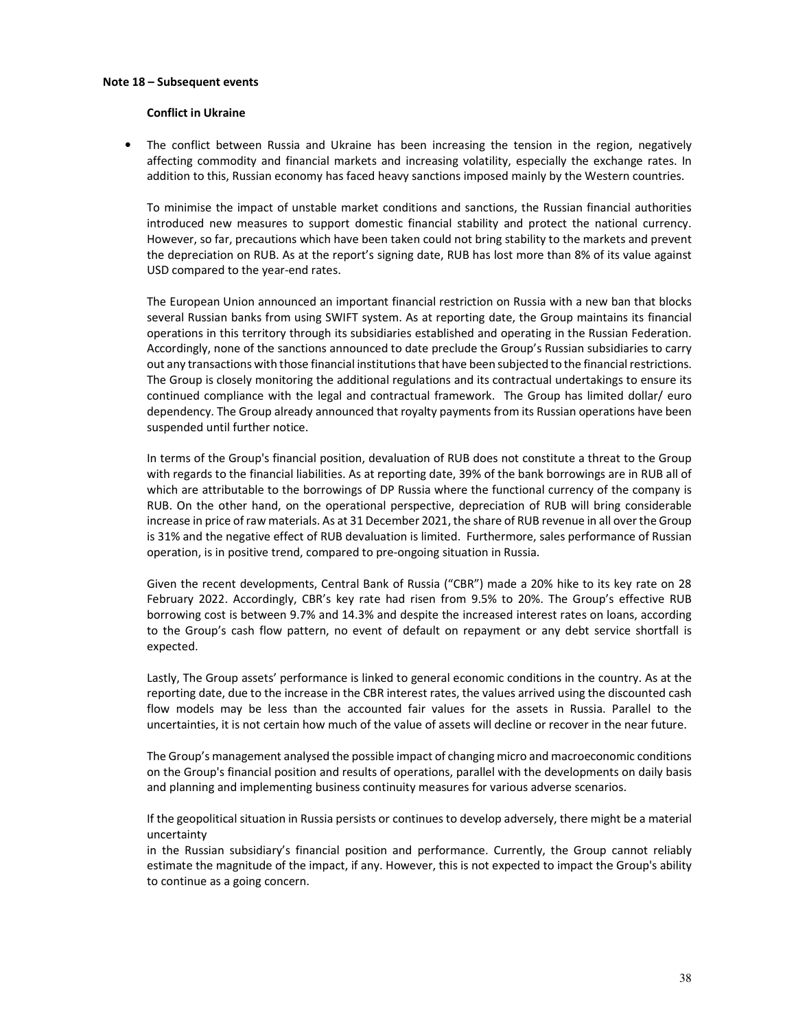#### **Note 18 – Subsequent events**

#### **Conflict in Ukraine**

• The conflict between Russia and Ukraine has been increasing the tension in the region, negatively affecting commodity and financial markets and increasing volatility, especially the exchange rates. In addition to this, Russian economy has faced heavy sanctions imposed mainly by the Western countries.

To minimise the impact of unstable market conditions and sanctions, the Russian financial authorities introduced new measures to support domestic financial stability and protect the national currency. However, so far, precautions which have been taken could not bring stability to the markets and prevent the depreciation on RUB. As at the report's signing date, RUB has lost more than 8% of its value against USD compared to the year-end rates.

The European Union announced an important financial restriction on Russia with a new ban that blocks several Russian banks from using SWIFT system. As at reporting date, the Group maintains its financial operations in this territory through its subsidiaries established and operating in the Russian Federation. Accordingly, none of the sanctions announced to date preclude the Group's Russian subsidiaries to carry out any transactions with those financial institutions that have been subjected to the financial restrictions. The Group is closely monitoring the additional regulations and its contractual undertakings to ensure its continued compliance with the legal and contractual framework. The Group has limited dollar/ euro dependency. The Group already announced that royalty payments from its Russian operations have been suspended until further notice.

In terms of the Group's financial position, devaluation of RUB does not constitute a threat to the Group with regards to the financial liabilities. As at reporting date, 39% of the bank borrowings are in RUB all of which are attributable to the borrowings of DP Russia where the functional currency of the company is RUB. On the other hand, on the operational perspective, depreciation of RUB will bring considerable increase in price of raw materials. As at 31 December 2021, the share of RUB revenue in all over the Group is 31% and the negative effect of RUB devaluation is limited. Furthermore, sales performance of Russian operation, is in positive trend, compared to pre-ongoing situation in Russia.

Given the recent developments, Central Bank of Russia ("CBR") made a 20% hike to its key rate on 28 February 2022. Accordingly, CBR's key rate had risen from 9.5% to 20%. The Group's effective RUB borrowing cost is between 9.7% and 14.3% and despite the increased interest rates on loans, according to the Group's cash flow pattern, no event of default on repayment or any debt service shortfall is expected.

Lastly, The Group assets' performance is linked to general economic conditions in the country. As at the reporting date, due to the increase in the CBR interest rates, the values arrived using the discounted cash flow models may be less than the accounted fair values for the assets in Russia. Parallel to the uncertainties, it is not certain how much of the value of assets will decline or recover in the near future.

The Group's management analysed the possible impact of changing micro and macroeconomic conditions on the Group's financial position and results of operations, parallel with the developments on daily basis and planning and implementing business continuity measures for various adverse scenarios.

If the geopolitical situation in Russia persists or continues to develop adversely, there might be a material uncertainty

in the Russian subsidiary's financial position and performance. Currently, the Group cannot reliably estimate the magnitude of the impact, if any. However, this is not expected to impact the Group's ability to continue as a going concern.